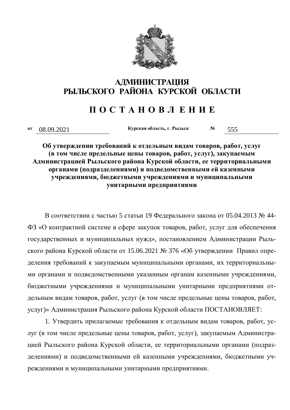

## АДМИНИСТРАЦИЯ **ɊɕɅɖɋɄɈȽɈ ɊȺɃɈɇȺ ɄɍɊɋɄɈɃ ɈȻɅȺɋɌɂ**

## **ɉ Ɉ ɋ Ɍ Ⱥ ɇ Ɉ ȼ Ʌ ȿ ɇ ɂ ȿ**

**ɨɬ** 08.09.2021 **Ʉɭɪɫɤɚɹɨɛɥɚɫɬɶ, ɝ. Ɋɵɥɶɫɤ <sup>ʋ</sup>** 555

Об утверждении требований к отдельным видам товаров, работ, услуг  $($ в том числе предельные цены товаров, работ, услуг), закупаемым  $A$ дминистрацией Рыльского района Курской области, ее территориальными **урганами (подразделениями) и подведомственными ей казенными** учреждениями, бюджетными учреждениями и муниципальными **УНИТАРНЫМИ ПРЕДПРИЯТИЯМИ** 

В соответствии с частью 5 статьи 19 Федерального закона от 05.04.2013 № 44-ФЗ «О контрактной системе в сфере закупок товаров, работ, услуг для обеспечения государственных и муниципальных нужд», постановлением Администрации Рыльского района Курской области от 15.06.2021 № 376 «Об утверждении Правил определения требований к закупаемым муниципальными органами, их территориальными органами и подведомственными указанным органам казенными учреждениями, бюджетными учреждениями и муниципальными унитарными предприятиями отдельным видам товаров, работ, услуг (в том числе предельные цены товаров, работ, услуг)» Администрация Рыльского района Курской области ПОСТАНОВЛЯЕТ:

1. Утвердить прилагаемые требования к отдельным видам товаров, работ, услуг (в том числе предельные цены товаров, работ, услуг), закупаемым Администрацией Рыльского района Курской области, ее территориальными органами (подразделениями) и подведомственными ей казенными учреждениями, бюджетными учреждениями и муниципальными унитарными предприятиями.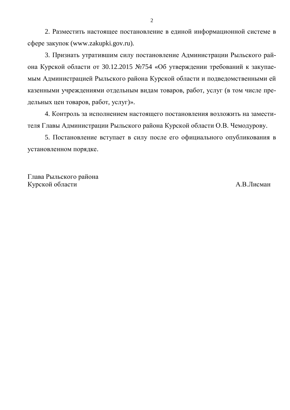2. Разместить настоящее постановление в единой информационной системе в сфере закупок (www.zakupki.gov.ru).

3. Признать утратившим силу постановление Администрации Рыльского района Курской области от 30.12.2015 №754 «Об утверждении требований к закупаемым Администрацией Рыльского района Курской области и подведомственными ей казенными учреждениями отдельным видам товаров, работ, услуг (в том числе предельных цен товаров, работ, услуг)».

4. Контроль за исполнением настоящего постановления возложить на заместителя Главы Администрации Рыльского района Курской области О.В. Чемодурову.

5. Постановление вступает в силу после его официального опубликования в установленном порядке.

Глава Рыльского района Курской области **МА.В.Лисман**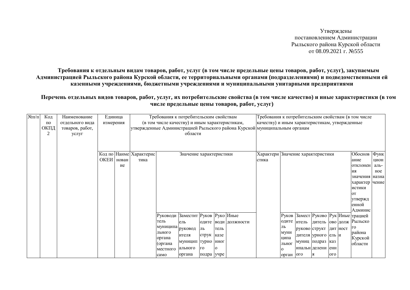Утверждены постановлением Администрации Рыльского района Курской области  $\overline{0}7.08.09.2021$  F. No 555

Требования к отдельным видам товаров, работ, услуг (в том числе предельные цены товаров, работ, услуг), закупаемым Администрацией Рыльского района Курской области, ее территориальными органами (подразделениями) и подведомственными ей казенными учреждениями, бюджетными учреждениями и муниципальными унитарными предприятиями

Перечень отдельных видов товаров, работ, услуг, их потребительские свойства (в том числе качество) и иные характеристики (в том числе предельные цены товаров, работ, услуг)

| $N$ <sup>o</sup> $\Pi$ / $\Pi$ | Код  | Наименование    | Единица    |    |                         | Требования к потребительским свойствам         |                         |            |      |                                                                            | Требования к потребительским свойствам (в том числе |            |                         |                     |     |          |                                      |       |
|--------------------------------|------|-----------------|------------|----|-------------------------|------------------------------------------------|-------------------------|------------|------|----------------------------------------------------------------------------|-----------------------------------------------------|------------|-------------------------|---------------------|-----|----------|--------------------------------------|-------|
|                                | по   | отдельного вида | измерения  |    |                         | (в том числе качеству) и иным характеристикам, |                         |            |      |                                                                            | качеству) и иным характеристикам, утвержденные      |            |                         |                     |     |          |                                      |       |
|                                | ОКПД | товаров, работ, |            |    |                         |                                                |                         |            |      | утвержденные Администрацией Рыльского района Курской муниципальным органам |                                                     |            |                         |                     |     |          |                                      |       |
|                                | 2    | услуг           |            |    |                         |                                                | области                 |            |      |                                                                            |                                                     |            |                         |                     |     |          |                                      |       |
|                                |      |                 |            |    |                         |                                                |                         |            |      |                                                                            |                                                     |            |                         |                     |     |          |                                      |       |
|                                |      |                 |            |    |                         |                                                |                         |            |      |                                                                            |                                                     |            |                         |                     |     |          |                                      |       |
|                                |      |                 |            |    | Код по Наиме Характерис |                                                | Значение характеристики |            |      |                                                                            | Характери                                           |            | Значение характеристики |                     |     |          | Обоснов                              | Функ  |
|                                |      |                 | ОКЕИ нован |    | тика                    |                                                |                         |            |      |                                                                            | стика                                               |            |                         |                     |     |          | ание                                 | цион  |
|                                |      |                 |            | ие |                         |                                                |                         |            |      |                                                                            |                                                     |            |                         |                     |     |          | отклонен                             | аль-  |
|                                |      |                 |            |    |                         |                                                |                         |            |      |                                                                            |                                                     |            |                         |                     |     |          | ия                                   | ное   |
|                                |      |                 |            |    |                         |                                                |                         |            |      |                                                                            |                                                     |            |                         |                     |     |          | значения                             | назна |
|                                |      |                 |            |    |                         |                                                |                         |            |      |                                                                            |                                                     |            |                         |                     |     |          | характер чение                       |       |
|                                |      |                 |            |    |                         |                                                |                         |            |      |                                                                            |                                                     |            |                         |                     |     |          | истики                               |       |
|                                |      |                 |            |    |                         |                                                |                         |            |      |                                                                            |                                                     |            |                         |                     |     |          | OТ                                   |       |
|                                |      |                 |            |    |                         |                                                |                         |            |      |                                                                            |                                                     |            |                         |                     |     |          | утвержд                              |       |
|                                |      |                 |            |    |                         |                                                |                         |            |      |                                                                            |                                                     |            |                         |                     |     |          | енной                                |       |
|                                |      |                 |            |    |                         |                                                |                         |            |      |                                                                            |                                                     |            |                         |                     |     |          | Админис                              |       |
|                                |      |                 |            |    |                         | Руководи Заместит Руков Руко Иные              |                         |            |      |                                                                            |                                                     |            |                         |                     |     |          | Руков Замест Руково Рук Иные трацией |       |
|                                |      |                 |            |    |                         | тель                                           | ель                     | одите      |      | води должности                                                             |                                                     |            | одите итель             |                     |     |          | дитель  ово долж   Рыльско           |       |
|                                |      |                 |            |    |                         | муниципа руковод                               |                         | ль         | тель |                                                                            |                                                     | ЛЬ         | руково структ           |                     |     | дит ност | го                                   |       |
|                                |      |                 |            |    |                         | льного                                         | ителя                   | струк      | казе |                                                                            |                                                     | муни       |                         | дителя урного ель и |     |          | района                               |       |
|                                |      |                 |            |    |                         | органа                                         | муницип  турно          |            | ННОГ |                                                                            |                                                     | ципа       | муниц подраз            |                     | каз |          | Курской                              |       |
|                                |      |                 |            |    |                         | (органа                                        | ального                 | <b>TO</b>  | 0    |                                                                            |                                                     | льног      | ипальн делени енн       |                     |     |          | области                              |       |
|                                |      |                 |            |    |                         | местного                                       |                         |            |      |                                                                            |                                                     | $\Omega$   |                         | IЯ                  | ого |          |                                      |       |
|                                |      |                 |            |    |                         | само                                           | органа                  | подра учре |      |                                                                            |                                                     | орган  ого |                         |                     |     |          |                                      |       |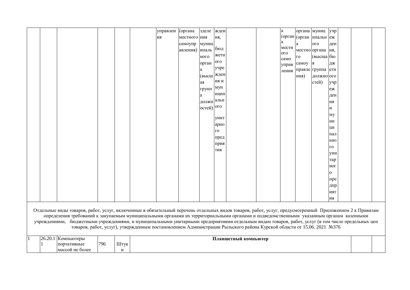|  |                                                                                                                                                                                                                                                                                                |     |      | управлен | (органа      | зделе                     | жден        |                                                                                                                        | a               |            | органа муниц учр        |          |  |
|--|------------------------------------------------------------------------------------------------------------------------------------------------------------------------------------------------------------------------------------------------------------------------------------------------|-----|------|----------|--------------|---------------------------|-------------|------------------------------------------------------------------------------------------------------------------------|-----------------|------------|-------------------------|----------|--|
|  |                                                                                                                                                                                                                                                                                                |     |      | ия       | местного ния |                           | ия,         |                                                                                                                        |                 |            | (орган (орган ипальн еж |          |  |
|  |                                                                                                                                                                                                                                                                                                |     |      |          | самоупр      | муниц                     |             |                                                                                                                        | a               | a          | O <sub>LO</sub>         | ден      |  |
|  |                                                                                                                                                                                                                                                                                                |     |      |          | авления)     | ипаль                     | бюд         |                                                                                                                        | местн           |            | местно органа ия,       |          |  |
|  |                                                                                                                                                                                                                                                                                                |     |      |          |              | ного                      | жетн        |                                                                                                                        | O <sub>10</sub> | $\Gamma$ O | (высша бю               |          |  |
|  |                                                                                                                                                                                                                                                                                                |     |      |          |              |                           | 0IQ         |                                                                                                                        | само            |            |                         |          |  |
|  |                                                                                                                                                                                                                                                                                                |     |      |          |              | орган                     | учре        |                                                                                                                        | управ           | самоу      | IЯ                      | ДЖ       |  |
|  |                                                                                                                                                                                                                                                                                                |     |      |          |              | a                         |             |                                                                                                                        | ления           |            | правле группа етн       |          |  |
|  |                                                                                                                                                                                                                                                                                                |     |      |          |              | (высш жден                | и кн        |                                                                                                                        |                 | ния)       | должно ого              |          |  |
|  |                                                                                                                                                                                                                                                                                                |     |      |          |              | ая                        |             |                                                                                                                        |                 |            | стей)                   | учр      |  |
|  |                                                                                                                                                                                                                                                                                                |     |      |          |              | групп                     | мун         |                                                                                                                        |                 |            |                         | еж       |  |
|  |                                                                                                                                                                                                                                                                                                |     |      |          |              | a                         | ИЦИП        |                                                                                                                        |                 |            |                         | ден      |  |
|  |                                                                                                                                                                                                                                                                                                |     |      |          |              | должн                     | альн        |                                                                                                                        |                 |            |                         | ИЯ       |  |
|  |                                                                                                                                                                                                                                                                                                |     |      |          |              | остей) $ $ <sup>OГО</sup> |             |                                                                                                                        |                 |            |                         | И        |  |
|  |                                                                                                                                                                                                                                                                                                |     |      |          |              |                           |             |                                                                                                                        |                 |            |                         | мy       |  |
|  |                                                                                                                                                                                                                                                                                                |     |      |          |              |                           | <b>УНИТ</b> |                                                                                                                        |                 |            |                         | НИ       |  |
|  |                                                                                                                                                                                                                                                                                                |     |      |          |              |                           | арно        |                                                                                                                        |                 |            |                         | ЦИ       |  |
|  |                                                                                                                                                                                                                                                                                                |     |      |          |              |                           | го          |                                                                                                                        |                 |            |                         | пал      |  |
|  |                                                                                                                                                                                                                                                                                                |     |      |          |              |                           | пред        |                                                                                                                        |                 |            |                         | ьно      |  |
|  |                                                                                                                                                                                                                                                                                                |     |      |          |              |                           | прия        |                                                                                                                        |                 |            |                         | го       |  |
|  |                                                                                                                                                                                                                                                                                                |     |      |          |              |                           | ТИЯ         |                                                                                                                        |                 |            |                         | УНИ      |  |
|  |                                                                                                                                                                                                                                                                                                |     |      |          |              |                           |             |                                                                                                                        |                 |            |                         | тар      |  |
|  |                                                                                                                                                                                                                                                                                                |     |      |          |              |                           |             |                                                                                                                        |                 |            |                         | HOI      |  |
|  |                                                                                                                                                                                                                                                                                                |     |      |          |              |                           |             |                                                                                                                        |                 |            |                         | $\Omega$ |  |
|  |                                                                                                                                                                                                                                                                                                |     |      |          |              |                           |             |                                                                                                                        |                 |            |                         |          |  |
|  |                                                                                                                                                                                                                                                                                                |     |      |          |              |                           |             |                                                                                                                        |                 |            |                         | пре      |  |
|  |                                                                                                                                                                                                                                                                                                |     |      |          |              |                           |             |                                                                                                                        |                 |            |                         | дпр      |  |
|  |                                                                                                                                                                                                                                                                                                |     |      |          |              |                           |             |                                                                                                                        |                 |            |                         | ИЯТ      |  |
|  |                                                                                                                                                                                                                                                                                                |     |      |          |              |                           |             |                                                                                                                        |                 |            |                         | ИЯ       |  |
|  |                                                                                                                                                                                                                                                                                                |     |      |          |              |                           |             |                                                                                                                        |                 |            |                         |          |  |
|  | Отдельные виды товаров, работ, услуг, включенные в обязательный перечень отдельных видов товаров, работ, услуг, предусмотренный Приложением 2 к Правилам                                                                                                                                       |     |      |          |              |                           |             |                                                                                                                        |                 |            |                         |          |  |
|  | определения требований к закупаемым муниципальными органами их территориальными органами и подведомственными указанным органам казенными<br>учреждениями, бюджетными учреждениями, и муниципальными унитарными предприятиями отдельным видам товаров, работ, услуг (в том числе предельных цен |     |      |          |              |                           |             |                                                                                                                        |                 |            |                         |          |  |
|  |                                                                                                                                                                                                                                                                                                |     |      |          |              |                           |             | товаров, работ, услуг), утвержденным постановлением Администрации Рыльского района Курской области от 15.06. 2021 №376 |                 |            |                         |          |  |
|  |                                                                                                                                                                                                                                                                                                |     |      |          |              |                           |             |                                                                                                                        |                 |            |                         |          |  |
|  | 26.20.1 Компьютеры                                                                                                                                                                                                                                                                             |     |      |          |              |                           |             | Планшетный компьютер                                                                                                   |                 |            |                         |          |  |
|  | портативные                                                                                                                                                                                                                                                                                    | 796 | Штук |          |              |                           |             |                                                                                                                        |                 |            |                         |          |  |
|  | массой не более                                                                                                                                                                                                                                                                                |     | И    |          |              |                           |             |                                                                                                                        |                 |            |                         |          |  |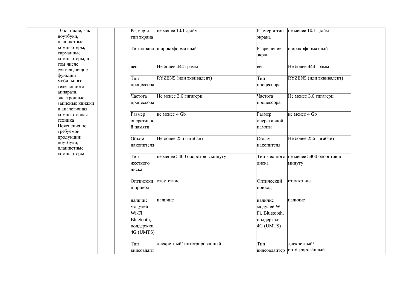| 10 кг такие, как        | Размер и   | не менее 10.1 дюйм              | Размер и тип   | не менее 10.1 дюйм                    |  |
|-------------------------|------------|---------------------------------|----------------|---------------------------------------|--|
| ноутбуки,               | тип экрана |                                 | экрана         |                                       |  |
| планшетные              |            |                                 |                |                                       |  |
| компьютеры,             |            | Тип экрана широкоформатный      | Разрешение     | широкоформатный                       |  |
| карманные               |            |                                 | экрана         |                                       |  |
| компьютеры, в           |            |                                 |                |                                       |  |
| том числе               | вес        | Не более 444 грамм              | <b>Bec</b>     | Не более 444 грамм                    |  |
| совмещающие             |            |                                 |                |                                       |  |
| функции                 | Тип        | RYZEN5 (или эквивалент)         | Тип            | RYZEN5 (или эквивалент)               |  |
| мобильного              | процессора |                                 | процессора     |                                       |  |
| телефонного             |            |                                 |                |                                       |  |
| аппарата,               | Частота    | Не менее 3.6 гигагерц           | Частота        | Не менее 3.6 гигагерц                 |  |
| электронные             |            |                                 |                |                                       |  |
| записные книжки         | процессора |                                 | процессора     |                                       |  |
| и аналогичная           |            | не менее 4 Gb                   | Размер         | не менее 4 Gb                         |  |
| компьютерная<br>техника | Размер     |                                 |                |                                       |  |
| Пояснения по            | оперативно |                                 | оперативной    |                                       |  |
| требуемой               | й памяти   |                                 | памяти         |                                       |  |
| продукции:              |            | Не более 256 гигабайт           | Объем          | Не более 256 гигабайт                 |  |
| ноутбуки,               | Объем      |                                 |                |                                       |  |
| планшетные              | накопителя |                                 | накопителя     |                                       |  |
| компьютеры              |            |                                 |                |                                       |  |
|                         | Тип        | не менее 5400 оборотов в минуту |                | Тип жесткого не менее 5400 оборотов в |  |
|                         | жесткого   |                                 | диска          | минуту                                |  |
|                         | диска      |                                 |                |                                       |  |
|                         | Оптически  | отсутствие                      | Оптический     | отсутствие                            |  |
|                         | й привод   |                                 |                |                                       |  |
|                         |            |                                 | привод         |                                       |  |
|                         | наличие    | наличие                         | наличие        | наличие                               |  |
|                         | модулей    |                                 | модулей Wi-    |                                       |  |
|                         | Wi-Fi,     |                                 |                |                                       |  |
|                         |            |                                 | Fi, Bluetooth, |                                       |  |
|                         | Bluetooth, |                                 | поддержки      |                                       |  |
|                         | поддержки  |                                 | 4G (UMTS)      |                                       |  |
|                         | 4G (UMTS)  |                                 |                |                                       |  |
|                         | Тип        | дискретный/интегрированный      | Тип            | дискретный/                           |  |
|                         |            |                                 |                | интегрированный                       |  |
|                         | видеоадапт |                                 | видеоадаптер   |                                       |  |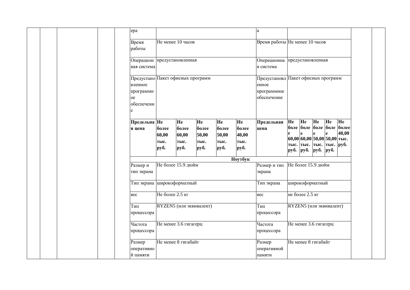| epa                   |                                   |                |                |                | a                                   |    |                                                             |           |    |                |  |
|-----------------------|-----------------------------------|----------------|----------------|----------------|-------------------------------------|----|-------------------------------------------------------------|-----------|----|----------------|--|
| Время                 | Не менее 10 часов                 |                |                |                | Время работы Не менее 10 часов      |    |                                                             |           |    |                |  |
| работы                |                                   |                |                |                |                                     |    |                                                             |           |    |                |  |
| ная система           | Операцион предустановленная       |                |                |                | Операционна<br>я система            |    | предустановленная                                           |           |    |                |  |
|                       | Предустано Пакет офисных программ |                |                |                | Предустановл Пакет офисных программ |    |                                                             |           |    |                |  |
| вленное<br>программн  |                                   |                |                |                | енное<br>программное                |    |                                                             |           |    |                |  |
| <sub>oe</sub>         |                                   |                |                |                | обеспечение                         |    |                                                             |           |    |                |  |
| обеспечени            |                                   |                |                |                |                                     |    |                                                             |           |    |                |  |
| Предельна Не          | He                                | He             | He             | He             | Предельная                          | He | He                                                          | <b>He</b> | He | He             |  |
| я цена                | более<br>более<br>60,00<br>60,00  | более<br>50,00 | более<br>50,00 | более<br>40,00 | цена                                | e  | боле  боле  боле  боле<br>e                                 | e         | e  | более<br>40,00 |  |
|                       | тыс.<br>тыс.                      | тыс.           | тыс.           | тыс.           |                                     |    | $60,00 60,00 50,00 50,00 $ тыс.<br>тыс. тыс. тыс. тыс. руб. |           |    |                |  |
|                       | руб.<br>руб.                      | руб.           | руб.           | руб.           |                                     |    | руб. руб. руб. руб.                                         |           |    |                |  |
| Размер и              | Не более 15.9 дюйм                |                |                | Ноутбук        | Размер и тип                        |    | Не более 15.9 дюйм                                          |           |    |                |  |
| тип экрана            |                                   |                |                |                | экрана                              |    |                                                             |           |    |                |  |
|                       | Тип экрана широкоформатный        |                |                |                | Тип экрана                          |    | широкоформатный                                             |           |    |                |  |
| <b>Bec</b>            | Не более 2.5 кг                   |                |                |                | <b>Bec</b>                          |    | не более 2.5 кг                                             |           |    |                |  |
| Тип<br>процессора     | RYZEN5 (или эквивалент)           |                |                |                | Тип<br>процессора                   |    | RYZEN5 (или эквивалент)                                     |           |    |                |  |
| Частота<br>процессора | Не менее 3.6 гигагерц             |                |                |                | Частота<br>процессора               |    | Не менее 3.6 гигагерц                                       |           |    |                |  |
| Размер<br>оперативно  | Не менее 8 гигабайт               |                |                |                | Размер<br>оперативной               |    | Не менее 8 гигабайт                                         |           |    |                |  |
| й памяти              |                                   |                |                |                | памяти                              |    |                                                             |           |    |                |  |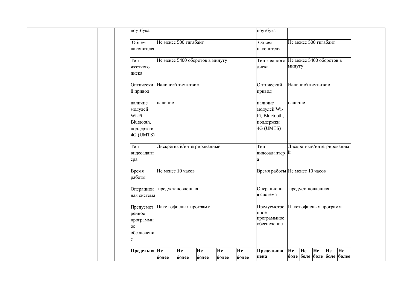| ноутбука           |                                 |       |       |       | ноутбука                       |         |    |                                 |    |
|--------------------|---------------------------------|-------|-------|-------|--------------------------------|---------|----|---------------------------------|----|
|                    |                                 |       |       |       |                                |         |    |                                 |    |
| Объем              | Не менее 500 гигабайт           |       |       |       | Объем                          |         |    | Не менее 500 гигабайт           |    |
| накопителя         |                                 |       |       |       | накопителя                     |         |    |                                 |    |
|                    |                                 |       |       |       |                                |         |    |                                 |    |
| Тип                | Не менее 5400 оборотов в минуту |       |       |       | Тип жесткого                   |         |    | Не менее 5400 оборотов в        |    |
| жесткого           |                                 |       |       |       | диска                          | минуту  |    |                                 |    |
| диска              |                                 |       |       |       |                                |         |    |                                 |    |
|                    |                                 |       |       |       |                                |         |    |                                 |    |
| Оптически          | Наличие/отсутствие              |       |       |       | Оптический                     |         |    | Наличие/отсутствие              |    |
| й привод           |                                 |       |       |       | привод                         |         |    |                                 |    |
| наличие<br>наличие |                                 |       |       |       | наличие                        | наличие |    |                                 |    |
| модулей            |                                 |       |       |       | модулей Wi-                    |         |    |                                 |    |
| Wi-Fi,             |                                 |       |       |       | Fi, Bluetooth,                 |         |    |                                 |    |
| Bluetooth,         |                                 |       |       |       | поддержки                      |         |    |                                 |    |
| поддержки          |                                 |       |       |       | 4G (UMTS)                      |         |    |                                 |    |
| 4G (UMTS)          |                                 |       |       |       |                                |         |    |                                 |    |
| Тип                |                                 |       |       |       | Тип                            |         |    | Дискретный/интегрированны       |    |
|                    | Дискретный/интегрированный      |       |       |       |                                | й       |    |                                 |    |
| видеоадапт         |                                 |       |       |       | видеоадаптер                   |         |    |                                 |    |
| epa                |                                 |       |       |       | a                              |         |    |                                 |    |
| Время              | Не менее 10 часов               |       |       |       | Время работы Не менее 10 часов |         |    |                                 |    |
| работы             |                                 |       |       |       |                                |         |    |                                 |    |
|                    |                                 |       |       |       |                                |         |    |                                 |    |
| Операцион          | предустановленная               |       |       |       | Операционна<br>я система       |         |    | предустановленная               |    |
| ная система        |                                 |       |       |       |                                |         |    |                                 |    |
| Предусмот          | Пакет офисных программ          |       |       |       | Предусмотре                    |         |    | Пакет офисных программ          |    |
| ренное             |                                 |       |       |       | нное                           |         |    |                                 |    |
| программн          |                                 |       |       |       | программное                    |         |    |                                 |    |
| oe                 |                                 |       |       |       | обеспечение                    |         |    |                                 |    |
| обеспечени         |                                 |       |       |       |                                |         |    |                                 |    |
| e                  |                                 |       |       |       |                                |         |    |                                 |    |
|                    |                                 |       |       |       |                                |         |    | He                              |    |
| Предельна Не       | He                              | He    | He    | He    | Предельная                     | He      | He | He<br>боле боле боле боле более | He |
| более              | более                           | более | более | более | цена                           |         |    |                                 |    |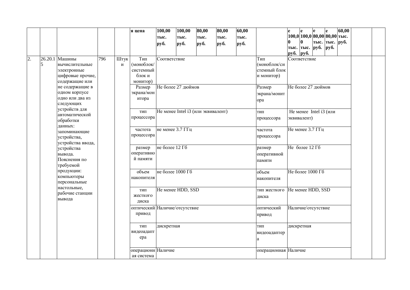|    |         |                                 |     |      | я цена                        | 100,00             | 100,00 | 80,00                              | 80,00 | 60,00 |                      | e    | e                        | e                                                     | e              | 60,00 |  |
|----|---------|---------------------------------|-----|------|-------------------------------|--------------------|--------|------------------------------------|-------|-------|----------------------|------|--------------------------|-------------------------------------------------------|----------------|-------|--|
|    |         |                                 |     |      |                               | тыс.               | тыс.   | тыс.                               | тыс.  | тыс.  |                      |      |                          | $\left 100,0\right 100,0\left 80,00\right 80,00$ тыс. |                |       |  |
|    |         |                                 |     |      |                               | руб.               | руб.   | руб.                               | руб.  | руб.  |                      | 0    | <sup>0</sup>             |                                                       | тыс. тыс. руб. |       |  |
|    |         |                                 |     |      |                               |                    |        |                                    |       |       |                      |      |                          | тыс. тыс. руб. руб.                                   |                |       |  |
|    |         |                                 |     |      |                               |                    |        |                                    |       |       |                      | руб. | <b>py</b> <sup>6</sup> . |                                                       |                |       |  |
| 2. | 26.20.1 | Машины                          | 796 | Штук | Тип                           | Соответствие       |        |                                    |       |       | Тип                  |      | Соответствие             |                                                       |                |       |  |
|    | 5       | вычислительные                  |     | И    | (моноблок/                    |                    |        |                                    |       |       | (моноблок/си         |      |                          |                                                       |                |       |  |
|    |         | электронные                     |     |      | системный                     |                    |        |                                    |       |       | стемный блок         |      |                          |                                                       |                |       |  |
|    |         | цифровые прочие,                |     |      | блок и                        |                    |        |                                    |       |       | и монитор)           |      |                          |                                                       |                |       |  |
|    |         | содержащие или                  |     |      | монитор)                      |                    |        |                                    |       |       |                      |      |                          |                                                       |                |       |  |
|    |         | не содержащие в                 |     |      | Размер                        | Не более 27 дюймов |        |                                    |       |       | Размер               |      |                          | Не более 27 дюймов                                    |                |       |  |
|    |         | одном корпусе                   |     |      | экрана/мон                    |                    |        |                                    |       |       | экрана/монит         |      |                          |                                                       |                |       |  |
|    |         | одно или два из                 |     |      | итора                         |                    |        |                                    |       |       | opa                  |      |                          |                                                       |                |       |  |
|    |         | следующих                       |     |      |                               |                    |        |                                    |       |       |                      |      |                          |                                                       |                |       |  |
|    |         | устройств для<br>автоматической |     |      | ТИП                           |                    |        | Не менее Intel i3 (или эквивалент) |       |       | тип                  |      |                          | Не менее Intel i3 (или                                |                |       |  |
|    |         | обработки                       |     |      | процессора                    |                    |        |                                    |       |       | процессора           |      | эквивалент)              |                                                       |                |       |  |
|    |         | данных:                         |     |      |                               |                    |        |                                    |       |       |                      |      |                          |                                                       |                |       |  |
|    |         | запоминающие                    |     |      | частота                       | не менее 3.7 ГГц   |        |                                    |       |       | частота              |      |                          | Не менее $3.7 \overline{\Gamma}$ Гц                   |                |       |  |
|    |         | устройства,                     |     |      | процессора                    |                    |        |                                    |       |       | процессора           |      |                          |                                                       |                |       |  |
|    |         | устройства ввода,               |     |      |                               |                    |        |                                    |       |       |                      |      |                          |                                                       |                |       |  |
|    |         | устройства                      |     |      | размер                        | не более 12 Гб     |        |                                    |       |       | размер               |      | Не более 12 Гб           |                                                       |                |       |  |
|    |         | вывода.                         |     |      | оперативно                    |                    |        |                                    |       |       | оперативной          |      |                          |                                                       |                |       |  |
|    |         | Пояснения по                    |     |      | й памяти                      |                    |        |                                    |       |       | памяти               |      |                          |                                                       |                |       |  |
|    |         | требуемой                       |     |      |                               |                    |        |                                    |       |       |                      |      |                          |                                                       |                |       |  |
|    |         | продукции:                      |     |      | объем                         | не более 1000 Гб   |        |                                    |       |       | объем                |      |                          | Не более 1000 Гб                                      |                |       |  |
|    |         | компьютеры                      |     |      | накопителя                    |                    |        |                                    |       |       | накопителя           |      |                          |                                                       |                |       |  |
|    |         | персональные                    |     |      |                               |                    |        |                                    |       |       |                      |      |                          |                                                       |                |       |  |
|    |         | настольные,<br>рабочие станции  |     |      | ТИП                           | Не менее HDD, SSD  |        |                                    |       |       | тип жесткого         |      |                          | Не менее HDD, SSD                                     |                |       |  |
|    |         | вывода                          |     |      | жесткого                      |                    |        |                                    |       |       | диска                |      |                          |                                                       |                |       |  |
|    |         |                                 |     |      | диска                         |                    |        |                                    |       |       |                      |      |                          |                                                       |                |       |  |
|    |         |                                 |     |      | оптический Наличие/отсутствие |                    |        |                                    |       |       | оптический           |      |                          | Наличие/отсутствие                                    |                |       |  |
|    |         |                                 |     |      | привод                        |                    |        |                                    |       |       | привод               |      |                          |                                                       |                |       |  |
|    |         |                                 |     |      |                               |                    |        |                                    |       |       |                      |      |                          |                                                       |                |       |  |
|    |         |                                 |     |      | ТИП                           | дискретная         |        |                                    |       |       | ТИП                  |      | дискретная               |                                                       |                |       |  |
|    |         |                                 |     |      | видеоадапт                    |                    |        |                                    |       |       | видеоадаптер         |      |                          |                                                       |                |       |  |
|    |         |                                 |     |      | epa                           |                    |        |                                    |       |       | a                    |      |                          |                                                       |                |       |  |
|    |         |                                 |     |      |                               |                    |        |                                    |       |       |                      |      |                          |                                                       |                |       |  |
|    |         |                                 |     |      | операционн Наличие            |                    |        |                                    |       |       | операционная Наличие |      |                          |                                                       |                |       |  |
|    |         |                                 |     |      | ая система                    |                    |        |                                    |       |       |                      |      |                          |                                                       |                |       |  |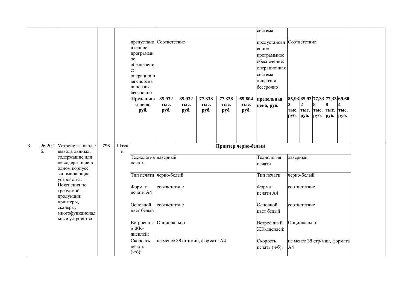|   |    |                                                               |     |           | предустано Соответствие<br>вленное<br>программн<br><sub>oe</sub><br>обеспечени<br>e:<br>операционн<br>ая система<br>лицензия<br>бессрочно<br>Предельна<br>я цена,<br>руб. | 85,932<br>тыс.<br>руб.          | 85,932<br>тыс.<br>руб. | 77,338<br>тыс.<br>руб. | 77,338<br>тыс.<br>руб. | 69,604<br>тыс.<br>руб. | система<br>предустановл Соответствие<br>енное<br>программное<br>обеспечение:<br>операционная<br>система<br>лицензия<br>бессрочно<br>предельная<br>цена, руб. | руб. <b>руб.</b> | $\mathbf 2$<br>тыс. тыс. тыс. тыс. тыс. | 8<br><b>руб.</b> | 8<br>руб. | 85,93 85,93 77,33 77,33 69,60<br>4<br>py6. |  |
|---|----|---------------------------------------------------------------|-----|-----------|---------------------------------------------------------------------------------------------------------------------------------------------------------------------------|---------------------------------|------------------------|------------------------|------------------------|------------------------|--------------------------------------------------------------------------------------------------------------------------------------------------------------|------------------|-----------------------------------------|------------------|-----------|--------------------------------------------|--|
| 3 | 6. | 26.20.1 Устройства ввода/<br>вывода данных,<br>содержащие или | 796 | Штук<br>И | Технология лазерный                                                                                                                                                       |                                 |                        |                        | Принтер черно-белый    |                        | Технология                                                                                                                                                   | лазерный         |                                         |                  |           |                                            |  |
|   |    | не содержащие в<br>одном корпусе                              |     |           | печати                                                                                                                                                                    |                                 |                        |                        |                        |                        | печати                                                                                                                                                       |                  |                                         |                  |           |                                            |  |
|   |    | запоминающие<br>устройства.                                   |     |           | Тип печати черно-белый                                                                                                                                                    |                                 |                        |                        |                        |                        | Тип печати                                                                                                                                                   |                  | черно-белый                             |                  |           |                                            |  |
|   |    | Пояснения по<br>требуемой<br>продукции:                       |     |           | Формат<br>печати А4                                                                                                                                                       | соответствие                    |                        |                        |                        |                        | Формат<br>печати А4                                                                                                                                          |                  | соответствие                            |                  |           |                                            |  |
|   |    | принтеры,<br>сканеры,<br>многофункционал<br>ьные устройства   |     |           | Основной<br>цвет белый                                                                                                                                                    | соответствие                    |                        |                        |                        |                        | Основной<br>цвет белый                                                                                                                                       |                  | соответствие                            |                  |           |                                            |  |
|   |    |                                                               |     |           | Встроенны<br>й ЖК-<br>дисплей:                                                                                                                                            | Опционально                     |                        |                        |                        |                        | Встроенный<br>ЖК-дисплей:                                                                                                                                    |                  | Опционально                             |                  |           |                                            |  |
|   |    |                                                               |     |           | Скорость<br>печать<br>$(4/6)$ :                                                                                                                                           | не менее 38 стр/мин, формата А4 |                        |                        |                        |                        | Скорость<br>печать (ч/б):                                                                                                                                    | A4               |                                         |                  |           | не менее 38 стр/мин, формата               |  |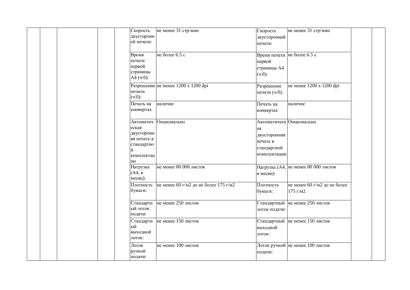| Скорость<br>двусторонн<br>ей печати:                                                   | не менее 31 стр/мин                             | Скорость<br>двусторонней<br>печати:                                                       | не менее 31 стр/мин                      |
|----------------------------------------------------------------------------------------|-------------------------------------------------|-------------------------------------------------------------------------------------------|------------------------------------------|
| Время<br>печати<br>первой<br>страницы<br>A4 (4/6):                                     | не более 6.5 с                                  | Время печати не более 6.5 с<br>первой<br>страницы А4<br>$(4/6)$ :                         |                                          |
| печати<br>$(4/6)$ :                                                                    | Разрешение не менее 1200 х 1200 dpi             | Разрешение<br>печати (ч/б):                                                               | не менее 1200 х 1200 dpi                 |
| Печать на<br>конвертах                                                                 | наличие                                         | Печать на<br>конвертах                                                                    | наличие                                  |
| Автоматич<br>еская<br>двусторонн<br>яя печать в<br>стандартно<br>й<br>комплектац<br>ИИ | Опционально                                     | Автоматическ Опционально<br>ая<br>двусторонняя<br>печать в<br>стандартной<br>комплектации |                                          |
| Нагрузка<br>(A4, B)<br>месяц):                                                         | не менее 80 000 листов                          | в месяц):                                                                                 | Нагрузка (А4, не менее 80 000 листов     |
| бумаги:                                                                                | Плотность не менее 60 г/м2 до не более 175 г/м2 | Плотность<br>бумаги:                                                                      | не менее 60 г/м2 до не более<br>175 г/м2 |
| ый лоток<br>подачи:                                                                    | Стандартн не менее 250 листов                   | лоток подачи:                                                                             | Стандартный не менее 250 листов          |
| ый<br>выходной<br>лоток:                                                               | Стандартн не менее 150 листов                   | выходной<br>лоток:                                                                        | Стандартный не менее 150 листов          |
| Лоток<br>ручной<br>подачи:                                                             | не менее 100 листов                             | подачи:                                                                                   | Лоток ручной не менее 100 листов         |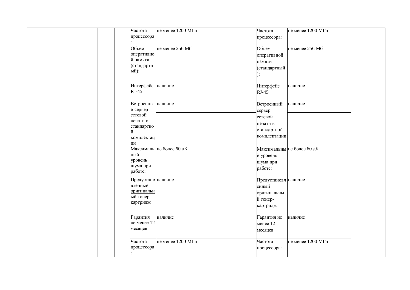|  |  | Частота<br>процессора                                                                       | не менее 1200 МГц        | Частота<br>процессора:                                                     | не менее 1200 МГц          |  |
|--|--|---------------------------------------------------------------------------------------------|--------------------------|----------------------------------------------------------------------------|----------------------------|--|
|  |  | Объем<br>оперативно<br>й памяти<br>(стандартн<br>ый):                                       | не менее 256 Мб          | Объем<br>оперативной<br>памяти<br>(стандартный<br>):                       | не менее 256 Мб            |  |
|  |  | Интерфейс наличие<br>$RJ-45$                                                                |                          | Интерфейс<br>$RJ-45$                                                       | наличие                    |  |
|  |  | Встроенны наличие<br>й сервер<br>сетевой<br>печати в<br>стандартно<br>й<br>комплектац<br>ИИ |                          | Встроенный<br>сервер<br>сетевой<br>печати в<br>стандартной<br>комплектации | наличие                    |  |
|  |  | ный<br>уровень<br>шума при<br>работе:                                                       | Максималь не более 60 дБ | й уровень<br>шума при<br>работе:                                           | Максимальны не более 60 дБ |  |
|  |  | Предустано наличие<br>вленный<br>оригинальн<br>ый тонер-<br>картридж                        |                          | Предустановл наличие<br>енный<br>оригинальны<br>й тонер-<br>картридж       |                            |  |
|  |  | Гарантия<br>не менее 12<br>месяцев                                                          | наличие                  | Гарантия не<br>менее 12<br>месяцев                                         | наличие                    |  |
|  |  | Частота<br>процессора                                                                       | не менее 1200 МГц        | Частота<br>процессора:                                                     | не менее 1200 МГц          |  |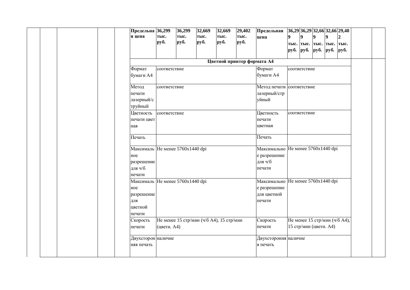|  |  | Предельна 36,299<br>я цена       | тыс.         | 36,299<br>тыс. | 32,669<br>тыс. | 32,669<br>тыс.                           | 29,402<br>тыс.             | Предельная<br>цена                 | 9                          | $\boldsymbol{Q}$       | 9 | $\boldsymbol{Q}$         | $36,29$ 36,29 32,66 32,66 29,40 |  |
|--|--|----------------------------------|--------------|----------------|----------------|------------------------------------------|----------------------------|------------------------------------|----------------------------|------------------------|---|--------------------------|---------------------------------|--|
|  |  |                                  | руб.         | руб.           | руб.           | руб.                                     | руб.                       |                                    | руб. <i>руб. руб. руб.</i> |                        |   | тыс. тыс. тыс. тыс. тыс. | руб.                            |  |
|  |  |                                  |              |                |                |                                          |                            |                                    |                            |                        |   |                          |                                 |  |
|  |  |                                  |              |                |                |                                          | Цветной принтер формата А4 |                                    |                            |                        |   |                          |                                 |  |
|  |  | Формат                           | соответствие |                |                |                                          |                            | Формат                             |                            | соответствие           |   |                          |                                 |  |
|  |  | бумаги А4                        |              |                |                |                                          |                            | бумаги А4                          |                            |                        |   |                          |                                 |  |
|  |  | Метод                            | соответствие |                |                |                                          |                            | Метод печати соответствие          |                            |                        |   |                          |                                 |  |
|  |  | печати                           |              |                |                |                                          |                            | лазерный/стр                       |                            |                        |   |                          |                                 |  |
|  |  | лазерный/с<br>труйный            |              |                |                |                                          |                            | уйный                              |                            |                        |   |                          |                                 |  |
|  |  | Цветность                        | соответствие |                |                |                                          |                            | Цветность                          |                            | соответствие           |   |                          |                                 |  |
|  |  | печати цвет                      |              |                |                |                                          |                            | печати                             |                            |                        |   |                          |                                 |  |
|  |  | ная                              |              |                |                |                                          |                            | цветная                            |                            |                        |   |                          |                                 |  |
|  |  | Печать                           |              |                |                |                                          |                            | Печать                             |                            |                        |   |                          |                                 |  |
|  |  | Максималь He менее 5760x1440 dpi |              |                |                |                                          |                            | Максимально He менее 5760x1440 dpi |                            |                        |   |                          |                                 |  |
|  |  | ное                              |              |                |                |                                          |                            | е разрешение                       |                            |                        |   |                          |                                 |  |
|  |  | разрешение                       |              |                |                |                                          |                            | для ч/б                            |                            |                        |   |                          |                                 |  |
|  |  | для ч/б                          |              |                |                |                                          |                            | печати                             |                            |                        |   |                          |                                 |  |
|  |  | печати                           |              |                |                |                                          |                            |                                    |                            |                        |   |                          |                                 |  |
|  |  | Максималь He менее 5760x1440 dpi |              |                |                |                                          |                            | Максимально He менее 5760x1440 dpi |                            |                        |   |                          |                                 |  |
|  |  | ное                              |              |                |                |                                          |                            | е разрешение                       |                            |                        |   |                          |                                 |  |
|  |  | разрешение                       |              |                |                |                                          |                            | для цветной                        |                            |                        |   |                          |                                 |  |
|  |  | для                              |              |                |                |                                          |                            | печати                             |                            |                        |   |                          |                                 |  |
|  |  | цветной                          |              |                |                |                                          |                            |                                    |                            |                        |   |                          |                                 |  |
|  |  | печати                           |              |                |                |                                          |                            |                                    |                            |                        |   |                          |                                 |  |
|  |  | Скорость                         |              |                |                | Не менее 15 стр/мин (ч/б А4), 15 стр/мин |                            | Скорость                           |                            |                        |   |                          | Не менее 15 стр/мин (ч/б А4),   |  |
|  |  | печати                           | (цветн. А4)  |                |                |                                          |                            | печати                             |                            | 15 стр/мин (цветн. А4) |   |                          |                                 |  |
|  |  | Двухсторон наличие               |              |                |                |                                          |                            | Двухстороння наличие               |                            |                        |   |                          |                                 |  |
|  |  | няя печать                       |              |                |                |                                          |                            | я печать                           |                            |                        |   |                          |                                 |  |
|  |  |                                  |              |                |                |                                          |                            |                                    |                            |                        |   |                          |                                 |  |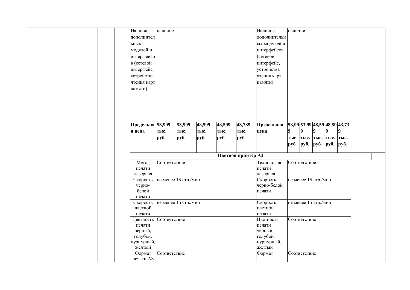| Наличие<br>наличие               |        |        |                    | Наличие          | наличие        |                |                      |                               |                  |  |
|----------------------------------|--------|--------|--------------------|------------------|----------------|----------------|----------------------|-------------------------------|------------------|--|
| дополнител                       |        |        |                    | дополнительн     |                |                |                      |                               |                  |  |
| ьных                             |        |        |                    | ых модулей и     |                |                |                      |                               |                  |  |
| модулей и                        |        |        |                    | интерфейсов      |                |                |                      |                               |                  |  |
| интерфейсо                       |        |        |                    | (сетевой         |                |                |                      |                               |                  |  |
| в (сетевой                       |        |        |                    | интерфейс,       |                |                |                      |                               |                  |  |
| интерфейс,                       |        |        |                    | устройства       |                |                |                      |                               |                  |  |
| устройства                       |        |        |                    | чтения карт      |                |                |                      |                               |                  |  |
| чтения карт                      |        |        |                    | памяти)          |                |                |                      |                               |                  |  |
|                                  |        |        |                    |                  |                |                |                      |                               |                  |  |
| памяти)                          |        |        |                    |                  |                |                |                      |                               |                  |  |
|                                  |        |        |                    |                  |                |                |                      |                               |                  |  |
|                                  |        |        |                    |                  |                |                |                      |                               |                  |  |
|                                  |        |        |                    |                  |                |                |                      |                               |                  |  |
|                                  |        |        |                    |                  |                |                |                      |                               |                  |  |
| Предельна 53,999<br>53,999       | 48,599 | 48,599 | 43,739             | Предельная       |                |                |                      | 53,99 53,99 48,59 48,59 43,73 |                  |  |
|                                  |        |        |                    |                  | $\overline{9}$ | $\overline{9}$ | $\overline{9}$       | $\boldsymbol{9}$              | $\boldsymbol{9}$ |  |
| я цена<br>тыс.<br>тыс.           | тыс.   | тыс.   | тыс.               | цена             |                |                |                      |                               |                  |  |
| руб.<br>руб.                     | руб.   | руб.   | руб.               |                  |                |                |                      | тыс. тыс. тыс. тыс. тыс.      |                  |  |
|                                  |        |        |                    |                  | руб. руб.      |                | руб.                 | руб.                          | руб.             |  |
|                                  |        |        | Цветной принтер АЗ |                  |                |                |                      |                               |                  |  |
|                                  |        |        |                    |                  |                |                |                      |                               |                  |  |
| Метод<br>Соответствие            |        |        |                    | Технология       |                | Соответствие   |                      |                               |                  |  |
| печати                           |        |        |                    | печати           |                |                |                      |                               |                  |  |
| лазерная                         |        |        |                    | лазерная         |                |                |                      |                               |                  |  |
| не менее 15 стр./мин<br>Скорость |        |        |                    | Скорость         |                |                | не менее 15 стр./мин |                               |                  |  |
| черно-<br>белой                  |        |        |                    | черно-белой      |                |                |                      |                               |                  |  |
| печати                           |        |        |                    | печати           |                |                |                      |                               |                  |  |
| не менее 15 стр./мин<br>Скорость |        |        |                    | Скорость         |                |                | не менее 15 стр./мин |                               |                  |  |
| цветной                          |        |        |                    | цветной          |                |                |                      |                               |                  |  |
| печати                           |        |        |                    | печати           |                |                |                      |                               |                  |  |
| Соответствие<br>Цветность        |        |        |                    | Цветность        |                | Соответствие   |                      |                               |                  |  |
| печати                           |        |        |                    | печати           |                |                |                      |                               |                  |  |
| черный,                          |        |        |                    | черный,          |                |                |                      |                               |                  |  |
| голубой,                         |        |        |                    |                  |                |                |                      |                               |                  |  |
|                                  |        |        |                    |                  |                |                |                      |                               |                  |  |
|                                  |        |        |                    | голубой,         |                |                |                      |                               |                  |  |
| пурпурный,                       |        |        |                    | пурпурный,       |                |                |                      |                               |                  |  |
| желтый<br>Соответствие<br>Формат |        |        |                    | желтый<br>Формат |                | Соответствие   |                      |                               |                  |  |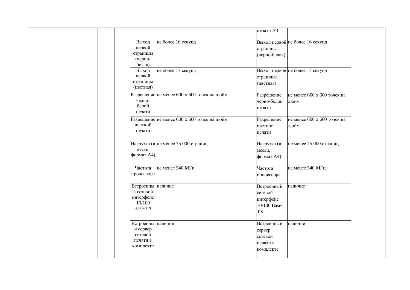|  |                                                                   |                                             | печати АЗ                                                       |                                     |  |
|--|-------------------------------------------------------------------|---------------------------------------------|-----------------------------------------------------------------|-------------------------------------|--|
|  | Выход<br>первой<br>страницы<br>(черно-<br>белая)                  | не более 16 секунд                          | страницы<br>(черно-белая)                                       | Выход первой не более 16 секунд     |  |
|  | Выход<br>первой<br>страницы<br>(цветная)                          | не более 17 секунд                          | страницы<br>(цветная)                                           | Выход первой не более 17 секунд     |  |
|  | черно-<br>белой<br>печати                                         | Разрешение не менее 600 х 600 точек на дюйм | Разрешение<br>черно-белой<br>печати                             | не менее 600 х 600 точек на<br>дюйм |  |
|  | цветной<br>печати                                                 | Разрешение не менее 600 х 600 точек на дюйм | Разрешение<br>цветной<br>печати                                 | не менее 600 х 600 точек на<br>дюйм |  |
|  | месяц,<br>формат А4)                                              | Нагрузка (в не менее 75 000 страниц         | Нагрузка (в<br>месяц,<br>формат А4)                             | не менее 75 000 страниц             |  |
|  | Частота<br>процессора                                             | не менее 540 МГц                            | Частота<br>процессора                                           | не менее 540 МГц                    |  |
|  | Встроенны наличие<br>й сетевой<br>интерфейс<br>10/100<br>Base-TX  |                                             | Встроенный<br>сетевой<br>интерфейс<br>10/100 Base-<br><b>TX</b> | наличие                             |  |
|  | Встроенны наличие<br>й сервер<br>сетевой<br>печати в<br>комплекте |                                             | Встроенный<br>сервер<br>сетевой<br>печати в<br>комплекте        | наличие                             |  |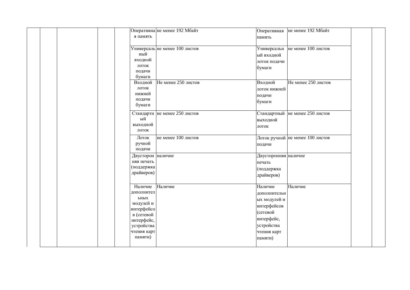| Оперативна не менее 192 Мбайт<br>я память                                                                                               | Оперативная<br>память                                                                                                    | не менее 192 Мбайт               |  |
|-----------------------------------------------------------------------------------------------------------------------------------------|--------------------------------------------------------------------------------------------------------------------------|----------------------------------|--|
| Универсаль не менее 100 листов<br>ный<br>входной<br>лоток<br>подачи<br>бумаги                                                           | Универсальн<br>ый входной<br>лоток подачи<br>бумаги                                                                      | не менее $100 \text{$            |  |
| Не менее 250 листов<br>Входной<br>лоток<br>нижней<br>подачи<br>бумаги                                                                   | Входной<br>лоток нижней<br>подачи<br>бумаги                                                                              | Не менее 250 листов              |  |
| Стандартн не менее 250 листов<br>ый<br>выходной<br>лоток                                                                                | выходной<br>лоток                                                                                                        | Стандартный не менее 250 листов  |  |
| не менее 100 листов<br>Лоток<br>ручной<br>подачи                                                                                        | подачи                                                                                                                   | Лоток ручной не менее 100 листов |  |
| Двусторон наличие<br>няя печать<br>(поддержка<br>драйверов)                                                                             | Двусторонняя наличие<br>печать<br>(поддержка<br>драйверов)                                                               |                                  |  |
| Наличие<br>Наличие<br>дополнител<br>ьных<br>модулей и<br>интерфейсо<br>в (сетевой<br>интерфейс,<br>устройства<br>чтения карт<br>памяти) | Наличие<br>дополнительн<br>ых модулей и<br>интерфейсов<br>(сетевой<br>интерфейс,<br>устройства<br>чтения карт<br>памяти) | Наличие                          |  |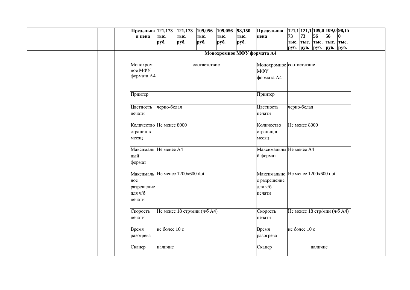|  |  | Предельна 121,173 121,173 109,056 |               |      |                              | 109,056 | $\overline{98,150}$ | Предельная                        |    | $\left  121, 1 \right  121, 1 \left  109, 0 \right  109, 0 \left  98, 15 \right $ |         |    |             |  |
|--|--|-----------------------------------|---------------|------|------------------------------|---------|---------------------|-----------------------------------|----|-----------------------------------------------------------------------------------|---------|----|-------------|--|
|  |  | я цена                            | тыс.          | тыс. | тыс.                         | тыс.    | тыс.                | цена                              | 73 | 73                                                                                | 56      | 56 | $ 0\rangle$ |  |
|  |  |                                   | pуб.          | руб. | руб.                         | руб.    | руб.                |                                   |    | тыс.  тыс.  тыс.  тыс.  тыс.                                                      |         |    |             |  |
|  |  |                                   |               |      |                              |         |                     |                                   |    | руб. <i>руб. руб. руб. руб.</i>                                                   |         |    |             |  |
|  |  |                                   |               |      |                              |         |                     | Монохромное МФУ формата А4        |    |                                                                                   |         |    |             |  |
|  |  |                                   |               |      |                              |         |                     |                                   |    |                                                                                   |         |    |             |  |
|  |  | Монохром                          |               |      | соответствие                 |         |                     | Монохромное соответствие          |    |                                                                                   |         |    |             |  |
|  |  | ное МФУ                           |               |      |                              |         |                     | МФУ                               |    |                                                                                   |         |    |             |  |
|  |  | формата А4                        |               |      |                              |         |                     | формата А4                        |    |                                                                                   |         |    |             |  |
|  |  |                                   |               |      |                              |         |                     |                                   |    |                                                                                   |         |    |             |  |
|  |  |                                   |               |      |                              |         |                     |                                   |    |                                                                                   |         |    |             |  |
|  |  | Принтер                           |               |      |                              |         |                     | Принтер                           |    |                                                                                   |         |    |             |  |
|  |  |                                   |               |      |                              |         |                     |                                   |    |                                                                                   |         |    |             |  |
|  |  | Цветность                         | черно-белая   |      |                              |         |                     | Цветность                         |    | черно-белая                                                                       |         |    |             |  |
|  |  | печати                            |               |      |                              |         |                     | печати                            |    |                                                                                   |         |    |             |  |
|  |  |                                   |               |      |                              |         |                     |                                   |    |                                                                                   |         |    |             |  |
|  |  | Количество Не менее 8000          |               |      |                              |         |                     | Количество                        |    | Не менее 8000                                                                     |         |    |             |  |
|  |  | страниц в                         |               |      |                              |         |                     | страниц в                         |    |                                                                                   |         |    |             |  |
|  |  | месяц                             |               |      |                              |         |                     | месяц                             |    |                                                                                   |         |    |             |  |
|  |  |                                   |               |      |                              |         |                     |                                   |    |                                                                                   |         |    |             |  |
|  |  | Максималь Не менее А4             |               |      |                              |         |                     | Максимальны Не менее А4           |    |                                                                                   |         |    |             |  |
|  |  | ный                               |               |      |                              |         |                     | й формат                          |    |                                                                                   |         |    |             |  |
|  |  | формат                            |               |      |                              |         |                     |                                   |    |                                                                                   |         |    |             |  |
|  |  |                                   |               |      |                              |         |                     |                                   |    |                                                                                   |         |    |             |  |
|  |  | Максималь Не менее 1200х600 dpi   |               |      |                              |         |                     | Максимально Не менее 1200х600 dpi |    |                                                                                   |         |    |             |  |
|  |  | ное                               |               |      |                              |         |                     | е разрешение                      |    |                                                                                   |         |    |             |  |
|  |  | разрешение                        |               |      |                              |         |                     | для ч/б                           |    |                                                                                   |         |    |             |  |
|  |  | для ч/б                           |               |      |                              |         |                     |                                   |    |                                                                                   |         |    |             |  |
|  |  |                                   |               |      |                              |         |                     | печати                            |    |                                                                                   |         |    |             |  |
|  |  | печати                            |               |      |                              |         |                     |                                   |    |                                                                                   |         |    |             |  |
|  |  | Скорость                          |               |      | Не менее 18 стр/мин (ч/б А4) |         |                     | Скорость                          |    | Не менее 18 стр/мин (ч/б А4)                                                      |         |    |             |  |
|  |  |                                   |               |      |                              |         |                     |                                   |    |                                                                                   |         |    |             |  |
|  |  | печати                            |               |      |                              |         |                     | печати                            |    |                                                                                   |         |    |             |  |
|  |  | Время                             | не более 10 с |      |                              |         |                     | Время                             |    | не более 10 с                                                                     |         |    |             |  |
|  |  |                                   |               |      |                              |         |                     |                                   |    |                                                                                   |         |    |             |  |
|  |  | разогрева                         |               |      |                              |         |                     | разогрева                         |    |                                                                                   |         |    |             |  |
|  |  |                                   |               |      |                              |         |                     |                                   |    |                                                                                   | наличие |    |             |  |
|  |  | Сканер                            | наличие       |      |                              |         |                     | Сканер                            |    |                                                                                   |         |    |             |  |
|  |  |                                   |               |      |                              |         |                     |                                   |    |                                                                                   |         |    |             |  |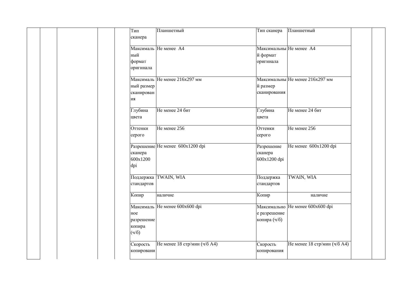|     | Тип        | Планшетный                       | Тип сканера             | Планшетный                       |  |
|-----|------------|----------------------------------|-------------------------|----------------------------------|--|
|     | сканера    |                                  |                         |                                  |  |
|     |            | Максималь Не менее А4            | Максимальны Не менее А4 |                                  |  |
|     | ный        |                                  | й формат                |                                  |  |
|     | формат     |                                  | оригинала               |                                  |  |
|     | оригинала  |                                  |                         |                                  |  |
|     |            |                                  |                         |                                  |  |
|     |            | Максималь Не менее 216х297 мм    |                         | Максимальны Не менее 216х297 мм  |  |
|     | ный размер |                                  | й размер                |                                  |  |
|     | сканирован |                                  | сканирования            |                                  |  |
| ИИ  |            |                                  |                         |                                  |  |
|     | Глубина    | Не менее 24 бит                  | Глубина                 | Не менее 24 бит                  |  |
|     | цвета      |                                  | цвета                   |                                  |  |
|     |            |                                  |                         |                                  |  |
|     | Оттенки    | Не менее 256                     | Оттенки                 | Не менее 256                     |  |
|     | серого     |                                  | серого                  |                                  |  |
|     |            | Разрешение Не менее 600x1200 dpi | Разрешение              | Не менее 600x1200 dpi            |  |
|     | сканера    |                                  | сканера                 |                                  |  |
|     | 600x1200   |                                  | 600x1200 dpi            |                                  |  |
| dpi |            |                                  |                         |                                  |  |
|     |            |                                  |                         |                                  |  |
|     |            | Поддержка TWAIN, WIA             | Поддержка               | TWAIN, WIA                       |  |
|     | стандартов |                                  | стандартов              |                                  |  |
|     | Копир      |                                  | Копир                   |                                  |  |
|     |            | наличие                          |                         | наличие                          |  |
|     |            | Максималь Не менее 600х600 dpi   |                         | Максимально Не менее 600х600 dpi |  |
| ное |            |                                  | е разрешение            |                                  |  |
|     | разрешение |                                  | копира (ч/б)            |                                  |  |
|     | копира     |                                  |                         |                                  |  |
|     | (4/6)      |                                  |                         |                                  |  |
|     | Скорость   | Не менее 18 стр/мин (ч/б А4)     | Скорость                | Не менее 18 стр/мин (ч/б А4)     |  |
|     | копировани |                                  | копирования             |                                  |  |
|     |            |                                  |                         |                                  |  |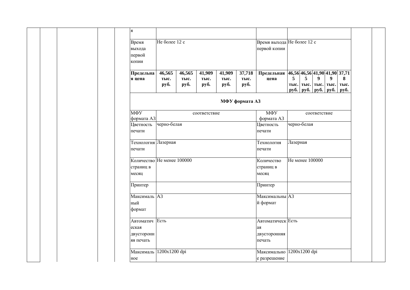| Я                                                  |                        |                        |                        |                        |                        |                                                   |                                            |           |                  |                                                 |                   |
|----------------------------------------------------|------------------------|------------------------|------------------------|------------------------|------------------------|---------------------------------------------------|--------------------------------------------|-----------|------------------|-------------------------------------------------|-------------------|
| Время<br>выхода                                    | Не более 12 с          |                        |                        |                        |                        | Время выхода Не более 12 с<br>первой копии        |                                            |           |                  |                                                 |                   |
| первой<br>копии                                    |                        |                        |                        |                        |                        |                                                   |                                            |           |                  |                                                 |                   |
| Предельна<br>я цена                                | 46,565<br>тыс.<br>руб. | 46,565<br>тыс.<br>руб. | 41,909<br>тыс.<br>руб. | 41,909<br>тыс.<br>руб. | 37,718<br>тыс.<br>руб. | Предельная 46,56 46,56 41,90 41,90 37,71<br>цена  | 5<br>тыс. тыс.<br><b>py</b> <sup>6</sup> . | 5<br>руб. | $\boldsymbol{9}$ | $\boldsymbol{9}$<br>тыс. тыс.<br>$py6.$ py $6.$ | 8<br>тыс.<br>руб. |
|                                                    |                        |                        |                        |                        | МФУ формата АЗ         |                                                   |                                            |           |                  |                                                 |                   |
| МФУ<br>формата АЗ                                  |                        |                        | соответствие           |                        |                        | МФУ<br>формата АЗ                                 |                                            |           | соответствие     |                                                 |                   |
| Цветность<br>печати                                | черно-белая            |                        |                        | Цветность<br>печати    | черно-белая            |                                                   |                                            |           |                  |                                                 |                   |
| Технология Лазерная<br>печати                      |                        |                        |                        |                        |                        | Технология<br>печати                              | Лазерная                                   |           |                  |                                                 |                   |
| Количество Не менее 100000<br>страниц в<br>месяц   |                        |                        |                        |                        |                        | Количество<br>страниц в<br>месяц                  | Не менее 100000                            |           |                  |                                                 |                   |
| Принтер                                            |                        |                        |                        |                        |                        | Принтер                                           |                                            |           |                  |                                                 |                   |
| Максималь АЗ<br>ный<br>формат                      |                        |                        |                        |                        |                        | Максимальны АЗ<br>й формат                        |                                            |           |                  |                                                 |                   |
| Автоматич Есть<br>еская<br>двусторонн<br>яя печать |                        |                        |                        |                        |                        | Автоматическ Есть<br>ая<br>двусторонняя<br>печать |                                            |           |                  |                                                 |                   |
| Максималь<br>ное                                   | 1200x1200 dpi          |                        |                        |                        |                        | Максимально 1200x1200 dpi<br>е разрешение         |                                            |           |                  |                                                 |                   |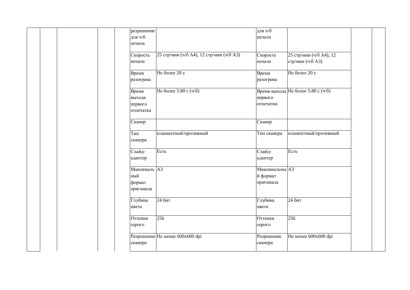|  |  | разрешение   |                                          | для ч/б        |                                    |  |
|--|--|--------------|------------------------------------------|----------------|------------------------------------|--|
|  |  | для ч/б      |                                          | печати         |                                    |  |
|  |  | печати       |                                          |                |                                    |  |
|  |  |              |                                          |                |                                    |  |
|  |  | Скорость     | 25 стр/мин (ч/б А4), 12 стр/мин (ч/б А3) | Скорость       | 25 стр/мин (ч/б А4), 12            |  |
|  |  | печати       |                                          | печати         | стр/мин (ч/б А3)                   |  |
|  |  |              |                                          |                |                                    |  |
|  |  | Время        | Не более 20 с                            | Время          | Не более 20 с                      |  |
|  |  | разогрева    |                                          | разогрева      |                                    |  |
|  |  |              |                                          |                |                                    |  |
|  |  | Время        | Не более 5.80 с (ч/б)                    |                | Время выхода Не более 5.80 с (ч/б) |  |
|  |  | выхода       |                                          | первого        |                                    |  |
|  |  | первого      |                                          | отпечатка      |                                    |  |
|  |  | отпечатка    |                                          |                |                                    |  |
|  |  |              |                                          |                |                                    |  |
|  |  | Сканер       |                                          | Сканер         |                                    |  |
|  |  | Тип          |                                          |                |                                    |  |
|  |  |              | планшетный/протяжный                     | Тип сканера    | планшетный/протяжный               |  |
|  |  | сканера      |                                          |                |                                    |  |
|  |  | Слайд-       | Есть                                     | Слайд-         | Есть                               |  |
|  |  | адаптер      |                                          | адаптер        |                                    |  |
|  |  |              |                                          |                |                                    |  |
|  |  | Максималь АЗ |                                          | Максимальны АЗ |                                    |  |
|  |  | ный          |                                          | й формат       |                                    |  |
|  |  | формат       |                                          | оригинала      |                                    |  |
|  |  | оригинала    |                                          |                |                                    |  |
|  |  |              |                                          |                |                                    |  |
|  |  | Глубина      | 24 бит                                   | Глубина        | 24 бит                             |  |
|  |  | цвета        |                                          | цвета          |                                    |  |
|  |  |              |                                          |                |                                    |  |
|  |  | Оттенки      | 256                                      | Оттенки        | 256                                |  |
|  |  | серого       |                                          | серого         |                                    |  |
|  |  |              |                                          |                |                                    |  |
|  |  |              | Разрешение Не менее 600х600 dpi          | Разрешение     | Не менее 600х600 dpi               |  |
|  |  | сканера      |                                          | сканера        |                                    |  |
|  |  |              |                                          |                |                                    |  |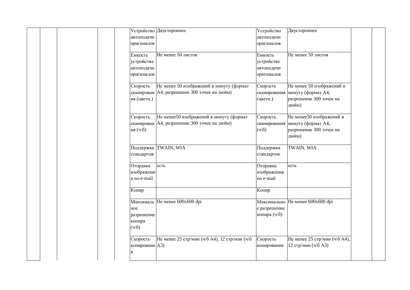|  |                | Устройство Двустороннее                        | Устройство   | Двустороннее                     |  |
|--|----------------|------------------------------------------------|--------------|----------------------------------|--|
|  | автоподачи     |                                                | автоподачи   |                                  |  |
|  | оригиналов     |                                                | оригиналов   |                                  |  |
|  |                |                                                |              |                                  |  |
|  | Емкость        | Не менее 50 листов                             | Емкость      | Не менее 50 листов               |  |
|  | устройства     |                                                | устройства   |                                  |  |
|  | автоподачи     |                                                | автоподачи   |                                  |  |
|  | оригиналов     |                                                | оригиналов   |                                  |  |
|  |                |                                                |              |                                  |  |
|  | Скорость       | Не менее 50 изображений в минуту (формат       | Скорость     | Не менее 50 изображений в        |  |
|  |                | сканирован   А4, разрешение 300 точек на дюйм) | сканирования | минуту (формат А4,               |  |
|  | ия (цветн.)    |                                                | (цветн.)     | разрешение 300 точек на          |  |
|  |                |                                                |              | дюйм)                            |  |
|  |                |                                                |              |                                  |  |
|  | Скорость       | Не менее50 изображений в минуту (формат        | Скорость     | Не менее50 изображений в         |  |
|  |                | сканирован   А4, разрешение 300 точек на дюйм) | сканирования | минуту (формат А4,               |  |
|  | ия (ч/б)       |                                                | (4/6)        | разрешение 300 точек на          |  |
|  |                |                                                |              | дюйм)                            |  |
|  |                |                                                |              |                                  |  |
|  |                | Поддержка TWAIN, WIA                           | Поддержка    | TWAIN, WIA                       |  |
|  | стандартов     |                                                | стандартов   |                                  |  |
|  |                |                                                |              |                                  |  |
|  | Отправка       | есть                                           | Отправка     | есть                             |  |
|  | изображени     |                                                | изображения  |                                  |  |
|  | я по e-mail    |                                                | πο e-mail    |                                  |  |
|  |                |                                                |              |                                  |  |
|  | Копир          |                                                | Копир        |                                  |  |
|  |                |                                                |              |                                  |  |
|  |                | Максималь Не менее 600х600 dpi                 |              | Максимально Не менее 600х600 dpi |  |
|  | ное            |                                                | е разрешение |                                  |  |
|  | разрешение     |                                                | копира (ч/б) |                                  |  |
|  | копира         |                                                |              |                                  |  |
|  | (4/6)          |                                                |              |                                  |  |
|  |                |                                                |              |                                  |  |
|  | Скорость       | Не менее 25 стр/мин (ч/б А4), 12 стр/мин (ч/б  | Скорость     | Не менее 25 стр/мин (ч/б А4),    |  |
|  | копировани АЗ) |                                                | копирования  | 12 стр/мин (ч/б А3)              |  |
|  |                |                                                |              |                                  |  |
|  | Я              |                                                |              |                                  |  |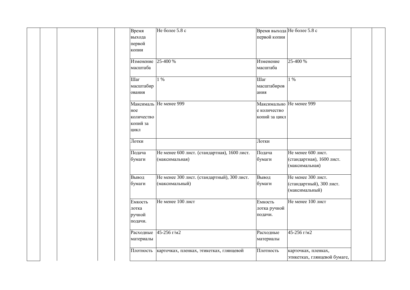|  | Время              | Не более 5.8 с                               | Время выхода Не более 5.8 с |                              |
|--|--------------------|----------------------------------------------|-----------------------------|------------------------------|
|  | выхода             |                                              | первой копии                |                              |
|  | первой             |                                              |                             |                              |
|  | копии              |                                              |                             |                              |
|  |                    |                                              |                             |                              |
|  | Изменение 25-400 % |                                              | Изменение                   | 25-400 %                     |
|  | масштаба           |                                              | масштаба                    |                              |
|  |                    |                                              |                             |                              |
|  | Шаг                | $1\%$                                        | Шаг                         | $1\%$                        |
|  | масштабир          |                                              | масштабиров                 |                              |
|  | ования             |                                              | ания                        |                              |
|  |                    |                                              |                             |                              |
|  |                    | Максималь Не менее 999                       | Максимально Не менее 999    |                              |
|  | ное                |                                              | е количество                |                              |
|  | количество         |                                              | копий за цикл               |                              |
|  |                    |                                              |                             |                              |
|  | копий за           |                                              |                             |                              |
|  | ЦИКЛ               |                                              |                             |                              |
|  | Лотки              |                                              | Лотки                       |                              |
|  |                    |                                              |                             |                              |
|  | Подача             | Не менее 600 лист. (стандартная), 1600 лист. | Подача                      | Не менее 600 лист.           |
|  | бумаги             | (максимальная)                               | бумаги                      | (стандартная), 1600 лист.    |
|  |                    |                                              |                             | (максимальная)               |
|  |                    |                                              |                             |                              |
|  | Вывод              | Не менее 300 лист. (стандартный), 300 лист.  | Вывод                       | Не менее 300 лист.           |
|  | бумаги             | (максимальный)                               | бумаги                      | (стандартный), 300 лист.     |
|  |                    |                                              |                             | (максимальный)               |
|  |                    |                                              |                             |                              |
|  | Емкость            | Не менее 100 лист                            | Емкость                     | Не менее 100 лист            |
|  | лотка              |                                              | лотка ручной                |                              |
|  | ручной             |                                              | подачи.                     |                              |
|  | подачи.            |                                              |                             |                              |
|  |                    |                                              |                             |                              |
|  |                    | Расходные 45-256 г/м2                        | Расходные                   | 45-256 г/м2                  |
|  | материалы          |                                              | материалы                   |                              |
|  |                    |                                              |                             |                              |
|  | Плотность          | карточках, пленках, этикетках, глянцевой     | Плотность                   | карточках, пленках,          |
|  |                    |                                              |                             | этикетках, глянцевой бумаге, |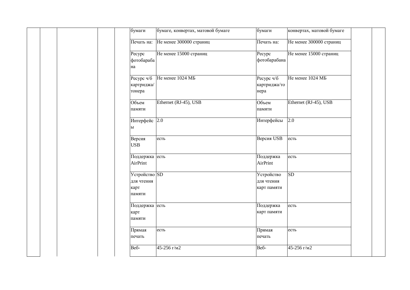|              | бумаги                                | бумаге, конвертах, матовой бумаге  | бумаги                                  | конвертах, матовой бумаге |  |
|--------------|---------------------------------------|------------------------------------|-----------------------------------------|---------------------------|--|
|              |                                       | Печать на: Не менее 300000 страниц | Печать на:                              | Не менее 300000 страниц   |  |
| Pecypc<br>на | фотобараба                            | Не менее 15000 страниц             | Pecypc<br>фотобарабана                  | Не менее 15000 страниц    |  |
| тонера       | картриджа/                            | Ресурс ч/б Не менее 1024 МБ        | Ресурс ч/б<br>картриджа/то<br>нера      | Не менее 1024 МБ          |  |
| Объем        | памяти                                | Ethernet (RJ-45), USB              | Объем<br>памяти                         | Ethernet (RJ-45), USB     |  |
| ы            | Интерфейс 2.0                         |                                    | Интерфейсы                              | 2.0                       |  |
| <b>USB</b>   | Версия                                | есть                               | Версия USB                              | есть                      |  |
|              | Поддержка есть<br>AirPrint            |                                    | Поддержка<br>AirPrint                   | есть                      |  |
| карт         | Устройство SD<br>для чтения<br>памяти |                                    | Устройство<br>для чтения<br>карт памяти | SD                        |  |
| карт         | Поддержка есть<br>памяти              |                                    | Поддержка<br>карт памяти                | есть                      |  |
| печать       | Прямая                                | есть                               | Прямая<br>печать                        | есть                      |  |
| Веб-         |                                       | 45-256 г/м2                        | Веб-                                    | 45-256 г/м2               |  |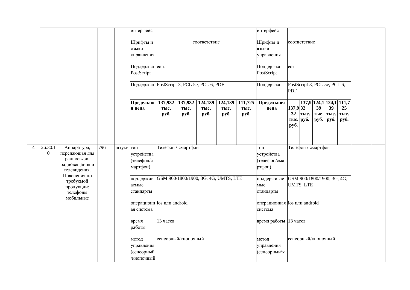|                |                             |                                                  |     |           | интерфейс                                       | интерфейс<br>соответствие                                                                                                           |  |  |  |                                         |                                         |                       |                              |                                   |                                   |                    |  |
|----------------|-----------------------------|--------------------------------------------------|-----|-----------|-------------------------------------------------|-------------------------------------------------------------------------------------------------------------------------------------|--|--|--|-----------------------------------------|-----------------------------------------|-----------------------|------------------------------|-----------------------------------|-----------------------------------|--------------------|--|
|                |                             |                                                  |     |           | Шрифты и<br>языки<br>управления                 |                                                                                                                                     |  |  |  |                                         | Шрифты и<br>языки<br>управления         |                       | соответствие                 |                                   |                                   |                    |  |
|                |                             |                                                  |     |           | Поддержка есть<br>PostScript                    |                                                                                                                                     |  |  |  |                                         | Поддержка<br>PostScript                 | есть                  |                              |                                   |                                   |                    |  |
|                |                             |                                                  |     |           | Поддержка PostScript 3, PCL 5e, PCL 6, PDF      |                                                                                                                                     |  |  |  |                                         | Поддержка                               | <b>PDF</b>            | PostScript 3, PCL 5e, PCL 6, |                                   |                                   |                    |  |
|                |                             |                                                  |     |           | Предельна<br>я цена                             | 137,932<br>137,932<br>124,139<br>124,139<br>111,725<br>тыс.<br>тыс.<br>тыс.<br>тыс.<br>тыс.<br>руб.<br>руб.<br>руб.<br>руб.<br>руб. |  |  |  |                                         | Предельная<br>цена                      | 137,932<br>32<br>руб. | тыс.<br>тыс. руб.            | 137,9 124,1<br>39<br>тыс.<br>руб. | 124,1 111,7<br>39<br>тыс.<br>руб. | 25<br>тыс.<br>руб. |  |
| $\overline{4}$ | 26.30.1<br>$\boldsymbol{0}$ | Аппаратура,<br>передающая для<br>радиосвязи,     | 796 | штуки тип | устройства<br>(телефон/с                        | Телефон / смартфон                                                                                                                  |  |  |  |                                         | ТИП<br>устройства<br>(телефон/сма       |                       | Телефон / смартфон           |                                   |                                   |                    |  |
|                |                             | радиовещания и<br>телевидения.<br>Пояснения по   |     |           | мартфон)                                        |                                                                                                                                     |  |  |  |                                         | ртфон)                                  |                       |                              |                                   |                                   |                    |  |
|                |                             | требуемой<br>продукции:<br>телефоны<br>мобильные |     |           | поддержив<br>аемые<br>стандарты                 | GSM 900/1800/1900, 3G, 4G, UMTS, LTE                                                                                                |  |  |  | поддерживае<br>мые<br>стандарты         | GSM 900/1800/1900, 3G, 4G,<br>UMTS, LTE |                       |                              |                                   |                                   |                    |  |
|                |                             |                                                  |     |           | ая система                                      | операционн ios или android                                                                                                          |  |  |  | операционная ios или android<br>система |                                         |                       |                              |                                   |                                   |                    |  |
|                |                             |                                                  |     |           | время<br>работы                                 | 13 часов                                                                                                                            |  |  |  | время работы 13 часов                   |                                         |                       |                              |                                   |                                   |                    |  |
|                |                             |                                                  |     |           | метод<br>управления<br>(сенсорный<br>/кнопочный | сенсорный/кнопочный                                                                                                                 |  |  |  | метод<br>управления<br>(сенсорный/к     |                                         | сенсорный/кнопочный   |                              |                                   |                                   |                    |  |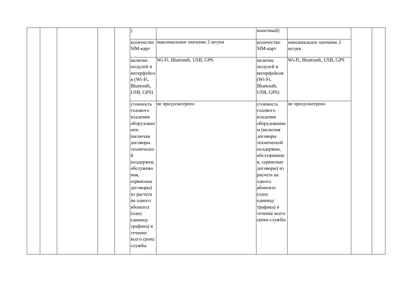|  |  |                         |                                          | нопочный)             |                            |  |
|--|--|-------------------------|------------------------------------------|-----------------------|----------------------------|--|
|  |  |                         |                                          |                       |                            |  |
|  |  |                         | количество максимальное значение 2 штуки | количество            | максимальное значение 2    |  |
|  |  | SIM-карт                |                                          | SIM-карт              | штуки                      |  |
|  |  |                         |                                          |                       |                            |  |
|  |  | наличие                 | Wi-Fi, Bluetooth, USB, GPS               | наличие               | Wi-Fi, Bluetooth, USB, GPS |  |
|  |  | модулей и               |                                          | модулей и             |                            |  |
|  |  | интерфейсо              |                                          | интерфейсов           |                            |  |
|  |  | $B$ (Wi-Fi,             |                                          | $(Wi-Fi,$             |                            |  |
|  |  | Bluetooth,              |                                          | Bluetooth,            |                            |  |
|  |  | USB, GPS)               |                                          | USB, GPS)             |                            |  |
|  |  |                         |                                          |                       |                            |  |
|  |  | стоимость               | не предусмотрено                         | стоимость             | не предусмотрено           |  |
|  |  | годового                |                                          | годового              |                            |  |
|  |  | владения                |                                          | владения              |                            |  |
|  |  | оборудован              |                                          | оборудование          |                            |  |
|  |  | ием                     |                                          | м (включая            |                            |  |
|  |  | (включая                |                                          | договоры              |                            |  |
|  |  | договоры                |                                          | технической           |                            |  |
|  |  | техническо              |                                          | поддержки,            |                            |  |
|  |  | й                       |                                          | обслуживани           |                            |  |
|  |  | поддержки,              |                                          | я, сервисные          |                            |  |
|  |  | обслужива<br>ния,       |                                          | договоры) из          |                            |  |
|  |  |                         |                                          | расчета на            |                            |  |
|  |  | сервисные               |                                          | одного<br>абонента    |                            |  |
|  |  | договоры)               |                                          |                       |                            |  |
|  |  | из расчета<br>на одного |                                          | (одну                 |                            |  |
|  |  | абонента                |                                          | единицу<br>трафика) в |                            |  |
|  |  |                         |                                          | течение всего         |                            |  |
|  |  | (одну                   |                                          | срока службы          |                            |  |
|  |  | единицу<br>трафика) в   |                                          |                       |                            |  |
|  |  | течение                 |                                          |                       |                            |  |
|  |  | всего срока             |                                          |                       |                            |  |
|  |  | службы                  |                                          |                       |                            |  |
|  |  |                         |                                          |                       |                            |  |
|  |  |                         |                                          |                       |                            |  |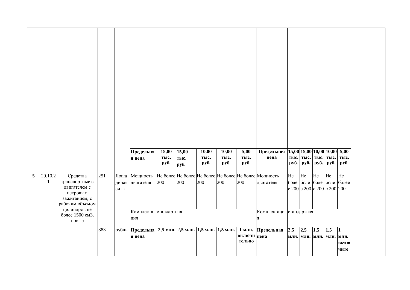|                |              |                                                                                            |     |                       | Предельна                                                        | 15,00        | 15,00        | 10,00        | $\overline{10,00}$ | $\overline{5,00}$          | Предельная                                                         |             |                                    |     | 15,00 15,00 10,00 10,00 5,00 |                                      |  |
|----------------|--------------|--------------------------------------------------------------------------------------------|-----|-----------------------|------------------------------------------------------------------|--------------|--------------|--------------|--------------------|----------------------------|--------------------------------------------------------------------|-------------|------------------------------------|-----|------------------------------|--------------------------------------|--|
|                |              |                                                                                            |     |                       | я цена                                                           | тыс.<br>руб. | тыс.<br>руб. | тыс.<br>руб. | тыс.<br>руб.       | тыс.<br>руб.               | цена                                                               | py6.        | тыс. тыс. тыс.<br>руб. <b>руб.</b> |     | тыс.<br>руб.                 | тыс.<br>руб.                         |  |
| 5 <sup>5</sup> |              |                                                                                            | 251 |                       | Мощность                                                         |              |              |              |                    |                            |                                                                    | He          | He                                 | He  | He                           | He                                   |  |
|                | 29.10.2<br>1 | Средства<br>транспортные с<br>двигателем с<br>искровым<br>зажиганием, с<br>рабочим объемом |     | Лоша<br>диная<br>сила | двигателя                                                        | 200          | 200          | 200          | 200                | 200                        | Не более Не более Не более Не более Не более Мощность<br>двигателя |             | боле боле боле боле                |     | e 200 e 200 e 200 e 200 200  | более                                |  |
|                |              | цилиндров не<br>более 1500 см3,<br>новые                                                   |     |                       | Комплекта стандартная<br>ция                                     |              |              |              |                    |                            | Комплектаци<br>Я                                                   | стандартная |                                    |     |                              |                                      |  |
|                |              |                                                                                            | 383 |                       | рубль  Предельна   2,5 млн. 2,5 млн. 1,5 млн. 1,5 млн.<br>я цена |              |              |              |                    | 1 млн.<br>включи<br>тельно | Предельная<br>цена                                                 | 2,5         | 2,5                                | 1,5 | 1,5<br>млн. млн. млн. млн.   | $\mathbf{1}$<br>млн.<br>вклю<br>чите |  |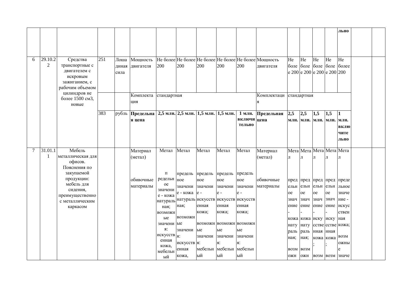|        |                |                                                              |     |       |                       |                              |                 |               |                                     |               |                                                       |               |               |               |                             | льно                      |  |
|--------|----------------|--------------------------------------------------------------|-----|-------|-----------------------|------------------------------|-----------------|---------------|-------------------------------------|---------------|-------------------------------------------------------|---------------|---------------|---------------|-----------------------------|---------------------------|--|
|        |                |                                                              |     |       |                       |                              |                 |               |                                     |               |                                                       |               |               |               |                             |                           |  |
| 6      | 29.10.2        | Средства                                                     | 251 | Лоша  | Мощность              |                              |                 |               |                                     |               | Не более Не более Не более Не более Не более Мощность | He            | He            | He            | He                          | He                        |  |
|        | $\overline{2}$ | транспортные с                                               |     | диная | двигателя             | 200                          | 200             | 200           | 200                                 | 200           | двигателя                                             | боле          | боле          | боле          | боле                        | более                     |  |
|        |                | двигателем с<br>искровым<br>зажиганием, с<br>рабочим объемом |     | сила  |                       |                              |                 |               |                                     |               |                                                       |               |               |               | e 200 e 200 e 200 e 200 200 |                           |  |
|        |                | цилиндров не<br>более 1500 см3,                              |     |       | Комплекта стандартная |                              |                 |               |                                     |               | Комплектаци                                           |               | стандартная   |               |                             |                           |  |
|        |                | новые                                                        |     |       | ЦИЯ                   |                              |                 |               |                                     |               |                                                       |               |               |               |                             |                           |  |
|        |                |                                                              | 383 | рубль | Предельна             |                              |                 |               | 2,5 млн. 2,5 млн. 1,5 млн. 1,5 млн. | 1 млн.        | Предельная                                            | 2,5           | 2,5           | 1,5           | 1,5                         |                           |  |
|        |                |                                                              |     |       | я цена                |                              |                 |               |                                     | включи цена   |                                                       | млн.          | млн.          | млн.          | млн.                        | млн.                      |  |
|        |                |                                                              |     |       |                       |                              |                 |               |                                     | тельно        |                                                       |               |               |               |                             | вклю                      |  |
|        |                |                                                              |     |       |                       |                              |                 |               |                                     |               |                                                       |               |               |               |                             | чите                      |  |
|        |                |                                                              |     |       |                       |                              |                 |               |                                     |               |                                                       |               |               |               |                             | льно                      |  |
| $\tau$ | 31.01.1        | Мебель                                                       |     |       | Материал              | Метал                        | Метал           | Метал         | Метал                               | Метал         | Материал                                              |               |               |               | Мета Мета Meта Meта Meта    |                           |  |
|        | 1              | металлическая для                                            |     |       | (метал)               |                              |                 |               |                                     |               | (метал)                                               | Л             | Л             | Л             | Л                           | Л                         |  |
|        |                | офисов.<br>Пояснения по                                      |     |       |                       |                              |                 |               |                                     |               |                                                       |               |               |               |                             |                           |  |
|        |                | закупаемой                                                   |     |       |                       | П                            | предель предель |               | предель                             | предель       |                                                       |               |               |               |                             |                           |  |
|        |                | продукции:                                                   |     |       | обивочные             | редельн                      | ное             | ное           | ное                                 | ное           | обивочные                                             |               |               |               |                             | пред пред пред пред преде |  |
|        |                | мебель для                                                   |     |       | материалы             | oe                           | значени         | значени       | значени                             | значени       | материалы                                             | ельн          | ельн          | ельн          | ельн                        | льное                     |  |
|        |                | сидения,                                                     |     |       |                       | значени<br>е - кожа          | е - кожа  е -   |               | $e -$                               | $e -$         |                                                       | <sub>oe</sub> | <sub>oe</sub> | <sub>oe</sub> | <sub>oe</sub>               | значе                     |  |
|        |                | преимущественно<br>с металлическим                           |     |       |                       | натураль                     |                 |               | натураль искусств искусств искусств |               |                                                       | знач          | знач          | знач          | знач                        | ние -                     |  |
|        |                | каркасом                                                     |     |       |                       | ная;                         | ная;            | енная         | енная                               | енная         |                                                       | ение          | ение          | ение          | ение                        | искус                     |  |
|        |                |                                                              |     |       |                       | <b>ВОЗМОЖН</b>               |                 | кожа;         | кожа;                               | кожа;         |                                                       |               |               |               |                             | ствен                     |  |
|        |                |                                                              |     |       |                       | ые                           | <b>ВОЗМОЖН</b>  |               |                                     |               |                                                       | кожа          | кожа иску     |               | иску                        | ная                       |  |
|        |                |                                                              |     |       |                       | значени ые                   |                 |               | ВОЗМОЖН ВОЗМОЖН ВОЗМОЖН             |               |                                                       | нату          | нату          |               | сстве сстве кожа;           |                           |  |
|        |                |                                                              |     |       |                       | Я:<br>искусств <sub>я:</sub> | значени         | ые            | ые                                  | ыe            |                                                       | раль          | раль          | нная          | нная                        |                           |  |
|        |                |                                                              |     |       |                       | енная                        |                 | значени       | значени                             | значени       |                                                       | ная;          | ная;          | кожа кожа     |                             | B03M                      |  |
|        |                |                                                              |     |       |                       | кожа,                        | искусств я:     |               | я:                                  | :R            |                                                       |               |               |               |                             | ОЖНЫ                      |  |
|        |                |                                                              |     |       |                       | мебельн                      | енная           | мебельн<br>ый | мебельн<br>ый                       | мебельн<br>ый |                                                       | <b>B03M</b>   | <b>BO3M</b>   |               |                             | e                         |  |
|        |                |                                                              |     |       |                       | ый                           | кожа,           |               |                                     |               |                                                       | ОЖН           | ОЖН           |               |                             | возм возм значе           |  |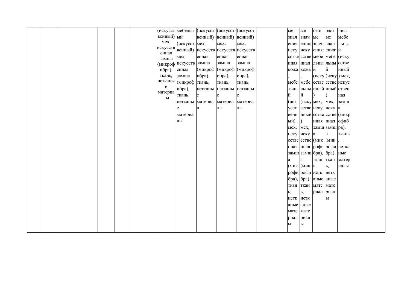|  |  |  |                |                        | (искусст мебельн (искусст (искусст (искусст |        |        | ые        | ые            | ОЖН                    | ОЖН                           | ния:                   |  |
|--|--|--|----------------|------------------------|---------------------------------------------|--------|--------|-----------|---------------|------------------------|-------------------------------|------------------------|--|
|  |  |  | венный) ый     |                        | венный) венный) венный)                     |        |        |           | знач знач ые  |                        | ыe                            | мебе                   |  |
|  |  |  | мех,           | (искусст мех,          |                                             | мех,   | Mex,   |           |               | ения: ения: знач знач  |                               | льны                   |  |
|  |  |  | искусств       |                        | венный) искусств искусств искусств          |        |        |           |               |                        | иску иску ения: ения: й       |                        |  |
|  |  |  | енная<br>замша | мех,                   | енная                                       | енная  | енная  |           |               |                        | сстве сстве мебе мебе (иску   |                        |  |
|  |  |  |                | (микроф искусств замша |                                             | замша  | замша  |           |               |                        | нная нная льны льны сстве     |                        |  |
|  |  |  | ибра),         | енная                  | (микроф  (микроф  (микроф                   |        |        |           | кожа кожа й   |                        | й                             | нный                   |  |
|  |  |  | ткань,         | замша                  | ибра),                                      | ибра), | ибра), |           |               |                        | (иску (иску) мех,             |                        |  |
|  |  |  | нетканы        | (микроф ткань,         |                                             | ткань, | ткань, |           |               |                        | мебе мебе сстве сстве искус   |                        |  |
|  |  |  | e              | ибра),                 | нетканы нетканы нетканы                     |        |        |           |               |                        | льны льны нный нный ствен     |                        |  |
|  |  |  | материа        | ткань,                 | e                                           | e      |        | И         | й             |                        |                               | ная                    |  |
|  |  |  | ЛЫ             |                        | нетканы материа материа материа             |        |        |           |               | (иск (искумех, мех,    |                               | замш                   |  |
|  |  |  |                | e                      | Л                                           | ЛЫ     | ЛЫ     |           |               |                        | усст сстве иску иску а        |                        |  |
|  |  |  |                | материа                |                                             |        |        | венн      |               |                        |                               | нный сстве сстве (микр |  |
|  |  |  |                | ЛЫ                     |                                             |        |        | ый)       | $\lambda$     |                        | нная нная офиб                |                        |  |
|  |  |  |                |                        |                                             |        |        |           |               |                        | мех, мех, замш замш ра),      |                        |  |
|  |  |  |                |                        |                                             |        |        |           | иску иску а   |                        | a                             | ткань                  |  |
|  |  |  |                |                        |                                             |        |        |           |               |                        | сстве сстве (мик (мик)        |                        |  |
|  |  |  |                |                        |                                             |        |        |           |               |                        | нная  нная  рофи  рофи  нетка |                        |  |
|  |  |  |                |                        |                                             |        |        |           |               | замш замш бра), бра),  |                               | ные                    |  |
|  |  |  |                |                        |                                             |        |        | a         | a             | ткан ткан              |                               | матер                  |  |
|  |  |  |                |                        |                                             |        |        |           | (мик (мик  ь, |                        | Ъ,                            | иалы                   |  |
|  |  |  |                |                        |                                             |        |        |           |               | рофи рофи нетк нетк    |                               |                        |  |
|  |  |  |                |                        |                                             |        |        |           |               | бра), [бра), аные аные |                               |                        |  |
|  |  |  |                |                        |                                             |        |        | ткан ткан |               | мате мате              |                               |                        |  |
|  |  |  |                |                        |                                             |        |        | Ь,        | Ь,            | риал риал              |                               |                        |  |
|  |  |  |                |                        |                                             |        |        | нетк нетк |               |                        | $\mathbf{P}$                  |                        |  |
|  |  |  |                |                        |                                             |        |        | аные аные |               |                        |                               |                        |  |
|  |  |  |                |                        |                                             |        |        | мате мате |               |                        |                               |                        |  |
|  |  |  |                |                        |                                             |        |        | риал      | риал          |                        |                               |                        |  |
|  |  |  |                |                        |                                             |        |        | ы         | ы             |                        |                               |                        |  |
|  |  |  |                |                        |                                             |        |        |           |               |                        |                               |                        |  |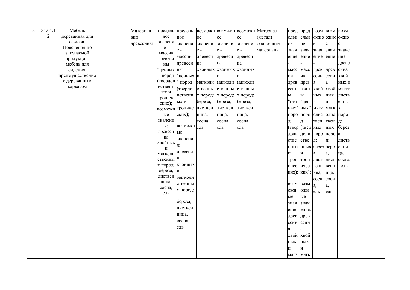| 8 | 31.01.1        | Мебель                   | Материал  | предель предель |                   |               |                         |               | возможн возможн возможн Материал | пред пред        |                            | B03M | BO3M          | BO3M           |  |
|---|----------------|--------------------------|-----------|-----------------|-------------------|---------------|-------------------------|---------------|----------------------------------|------------------|----------------------------|------|---------------|----------------|--|
|   | $\overline{2}$ | деревянная для           | ВИД       | ное             | ное               | <sub>oe</sub> | oe                      | <sub>oe</sub> | (метал)                          | ельн             | ельн                       |      |               | ожно ожно ожно |  |
|   |                | офисов.                  | древесины | значени         | значени           | значени       | значени                 | значени       | обивочные                        | <sub>oe</sub>    | <sub>oe</sub>              | e    |               | e              |  |
|   |                | Пояснения по             |           | $e -$           | $e -$             | $e -$         | e -                     | $e -$         | материалы                        | знач             | знач                       | знач | знач          | значе          |  |
|   |                | закупаемой               |           | массив          | массив            | древеси       | древеси                 | древеси       |                                  | ение ение        |                            | ение | ение          | ние -          |  |
|   |                | продукции:<br>мебель для |           | древеси<br>HЫ   | древеси           | на            | на                      | на            |                                  |                  |                            |      |               | древе          |  |
|   |                | сидения,                 |           | ценных ны       |                   |               | хвойных хвойных хвойных |               |                                  |                  | масс масс                  | древ | древ          | сина           |  |
|   |                | преимущественно          |           |                 | " пород "ценных и |               | И                       | И             |                                  | ИВ               | ИВ                         | есин | есин          | хвой           |  |
|   |                | с деревянным             |           | (твердол        | " пород           |               | мягколи мягколи мягколи |               |                                  | древ             | древ                       | a    | a             | ных и          |  |
|   |                | каркасом                 |           | иственн         | (твердол ственны  |               | ственны                 | ственны       |                                  | есин             | есин                       | хвой | хвой          | МЯГКО          |  |
|   |                |                          |           | ых и            | иственн х пород:  |               | х пород: х пород:       |               |                                  | ы                | ы                          | ных  | НЫХ           | листв          |  |
|   |                |                          |           | тропиче         |                   |               | береза,                 | береза,       |                                  | "цен             | "цен                       | И    | И             | енны           |  |
|   |                |                          |           | ских);          | ых и              | береза,       |                         |               |                                  | ных"             | $_{\rm{H}\rm{BIX}}$        | МЯГК | <b>МЯГК Х</b> |                |  |
|   |                |                          |           | <b>ВОЗМОЖН</b>  | тропиче           | листвен       | листвен                 | листвен       |                                  |                  |                            |      |               |                |  |
|   |                |                          |           | ые<br>значени   | ских);            | ница,         | ница,                   | ница,         |                                  |                  | поро поро                  | олис | олис          | поро           |  |
|   |                |                          |           | я:              | возможн           | сосна,        | сосна,                  | сосна,        |                                  |                  | Д                          | твен | твен          | Д:             |  |
|   |                |                          |           | древеси ые      |                   | ель           | ель                     | ель           |                                  |                  | (твер (твер ных            |      | НЫХ           | берез          |  |
|   |                |                          |           | на              | значени           |               |                         |               |                                  |                  | доли доли поро             |      | поро а,       |                |  |
|   |                |                          |           | хвойных         |                   |               |                         |               |                                  | стве             | стве                       | Д:   | Д:            | листв          |  |
|   |                |                          |           | И               | я:                |               |                         |               |                                  |                  | нных нных берез берез енни |      |               |                |  |
|   |                |                          |           | мягколи         | древеси           |               |                         |               |                                  | и                | $\boldsymbol{\mathrm{M}}$  | a,   | a.            | ца,            |  |
|   |                |                          |           | ственны на      |                   |               |                         |               |                                  |                  | троп троп                  | лист | лист          | сосна          |  |
|   |                |                          |           |                 | х пород: хвойных  |               |                         |               |                                  | ичес             | ичес                       | венн | венн          | ель            |  |
|   |                |                          |           | береза, $ $ и   |                   |               |                         |               |                                  |                  | ких); ких); ица,           |      | ица,          |                |  |
|   |                |                          |           | листвен         | мягколи           |               |                         |               |                                  |                  |                            | coCH | сосн          |                |  |
|   |                |                          |           | ница,<br>сосна, | ственны           |               |                         |               |                                  | <b>BO3M BO3M</b> |                            | a,   | a,            |                |  |
|   |                |                          |           | ель             | х пород:          |               |                         |               |                                  | ОЖН              | ОЖН                        | ель  | ель           |                |  |
|   |                |                          |           |                 |                   |               |                         |               |                                  | ые               | ые                         |      |               |                |  |
|   |                |                          |           |                 | береза,           |               |                         |               |                                  | знач             | знач                       |      |               |                |  |
|   |                |                          |           |                 | листвен           |               |                         |               |                                  | ения:            | ения:                      |      |               |                |  |
|   |                |                          |           |                 | ница,             |               |                         |               |                                  | древ             | древ                       |      |               |                |  |
|   |                |                          |           |                 | сосна,            |               |                         |               |                                  | есин             | есин                       |      |               |                |  |
|   |                |                          |           |                 | ель               |               |                         |               |                                  |                  | $\mathbf{a}$               |      |               |                |  |
|   |                |                          |           |                 |                   |               |                         |               |                                  | хвой             | хвой                       |      |               |                |  |
|   |                |                          |           |                 |                   |               |                         |               |                                  | НЫХ              | ных                        |      |               |                |  |
|   |                |                          |           |                 |                   |               |                         |               |                                  | И                | И                          |      |               |                |  |
|   |                |                          |           |                 |                   |               |                         |               |                                  | МЯГК МЯГК        |                            |      |               |                |  |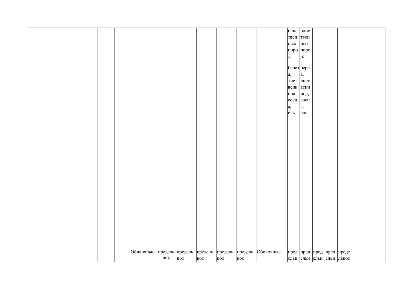|  |  |                           |     |     |                 |     |         |           |      | олис олис   |  |                           |  |
|--|--|---------------------------|-----|-----|-----------------|-----|---------|-----------|------|-------------|--|---------------------------|--|
|  |  |                           |     |     |                 |     |         |           | твен | твен        |  |                           |  |
|  |  |                           |     |     |                 |     |         |           | ных  | ных         |  |                           |  |
|  |  |                           |     |     |                 |     |         |           |      | поро поро   |  |                           |  |
|  |  |                           |     |     |                 |     |         |           |      |             |  |                           |  |
|  |  |                           |     |     |                 |     |         |           | д:   | д:          |  |                           |  |
|  |  |                           |     |     |                 |     |         |           |      |             |  |                           |  |
|  |  |                           |     |     |                 |     |         |           |      | берез берез |  |                           |  |
|  |  |                           |     |     |                 |     |         |           | a,   | a,          |  |                           |  |
|  |  |                           |     |     |                 |     |         |           |      | лист лист   |  |                           |  |
|  |  |                           |     |     |                 |     |         |           |      | венн венн   |  |                           |  |
|  |  |                           |     |     |                 |     |         |           | ица, | ица,        |  |                           |  |
|  |  |                           |     |     |                 |     |         |           | coCH | сосн        |  |                           |  |
|  |  |                           |     |     |                 |     |         |           | a,   | a,          |  |                           |  |
|  |  |                           |     |     |                 |     |         |           | ель  |             |  |                           |  |
|  |  |                           |     |     |                 |     |         |           |      | $e$ ль      |  |                           |  |
|  |  |                           |     |     |                 |     |         |           |      |             |  |                           |  |
|  |  |                           |     |     |                 |     |         |           |      |             |  |                           |  |
|  |  |                           |     |     |                 |     |         |           |      |             |  |                           |  |
|  |  |                           |     |     |                 |     |         |           |      |             |  |                           |  |
|  |  |                           |     |     |                 |     |         |           |      |             |  |                           |  |
|  |  |                           |     |     |                 |     |         |           |      |             |  |                           |  |
|  |  |                           |     |     |                 |     |         |           |      |             |  |                           |  |
|  |  |                           |     |     |                 |     |         |           |      |             |  |                           |  |
|  |  |                           |     |     |                 |     |         |           |      |             |  |                           |  |
|  |  |                           |     |     |                 |     |         |           |      |             |  |                           |  |
|  |  |                           |     |     |                 |     |         |           |      |             |  |                           |  |
|  |  |                           |     |     |                 |     |         |           |      |             |  |                           |  |
|  |  |                           |     |     |                 |     |         |           |      |             |  |                           |  |
|  |  |                           |     |     |                 |     |         |           |      |             |  |                           |  |
|  |  |                           |     |     |                 |     |         |           |      |             |  |                           |  |
|  |  |                           |     |     |                 |     |         |           |      |             |  |                           |  |
|  |  |                           |     |     |                 |     |         |           |      |             |  |                           |  |
|  |  |                           |     |     |                 |     |         |           |      |             |  |                           |  |
|  |  |                           |     |     |                 |     |         |           |      |             |  |                           |  |
|  |  |                           |     |     |                 |     |         |           |      |             |  |                           |  |
|  |  |                           |     |     |                 |     |         |           |      |             |  |                           |  |
|  |  |                           |     |     |                 |     |         |           |      |             |  |                           |  |
|  |  |                           |     |     |                 |     |         |           |      |             |  |                           |  |
|  |  | Обивочные предель предель |     |     |                 |     |         | Обивочные |      |             |  |                           |  |
|  |  |                           |     |     | предель предель |     | предель |           |      |             |  | пред пред пред пред преде |  |
|  |  |                           | ное | ное | ное             | ное | ное     |           |      |             |  | ельн ельн ельн ельн льное |  |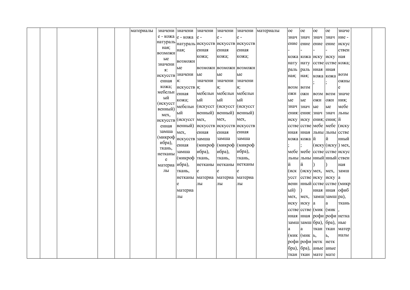|  |  | материалы | значени значени                |                       | значени                                      | значени                 |                           | значени материалы | oe               | oe                       | <sub>oe</sub>    | oe             | значе                         |  |
|--|--|-----------|--------------------------------|-----------------------|----------------------------------------------|-------------------------|---------------------------|-------------------|------------------|--------------------------|------------------|----------------|-------------------------------|--|
|  |  |           |                                | е - кожа е - кожа е - |                                              | $e -$                   | $e -$                     |                   | знач             | знач                     | знач             | знач           | ние -                         |  |
|  |  |           |                                |                       | натураль натураль искусств искусств искусств |                         |                           |                   | ение ение        |                          | ение ение        |                | искус                         |  |
|  |  |           | ная;                           | ная;                  | енная                                        | енная                   | енная                     |                   |                  |                          |                  |                | ствен                         |  |
|  |  |           | <b>ВОЗМОЖН</b>                 |                       | кожа;                                        | кожа;                   | кожа;                     |                   |                  | кожа кожа иску иску      |                  |                | ная                           |  |
|  |  |           | ые                             | возможн               |                                              |                         |                           |                   | нату нату        |                          |                  |                | сстве сстве кожа;             |  |
|  |  |           | значени<br>я:                  | ыe                    |                                              |                         | ВОЗМОЖН ВОЗМОЖН ВОЗМОЖН   |                   | раль             | раль                     | нная нная        |                |                               |  |
|  |  |           | искусств                       | значени ые            |                                              | ые                      | ые                        |                   | ная;             | ная;                     | кожа кожа        |                | $\rm B03M$                    |  |
|  |  |           | енная                          | я:                    | значени значени                              |                         | значени                   |                   |                  |                          |                  |                | ОЖНЫ                          |  |
|  |  |           | кожа;                          | искусств я;           |                                              | я;                      | я;                        |                   | <b>BO3M BO3M</b> |                          |                  |                | e                             |  |
|  |  |           | мебельн                        | енная                 |                                              | мебельн мебельн мебельн |                           |                   | ОЖН              | ОЖН                      | <b>BO3M BO3M</b> |                | значе                         |  |
|  |  |           | ый                             | кожа;                 | ый                                           | ый                      | ый                        |                   | ые               | ыe                       | ОЖН              | ОЖН            | ния;                          |  |
|  |  |           | (искусст                       |                       | мебельн (искусст (искусст (искусст           |                         |                           |                   | знач знач        |                          | ые               | ые             | мебе                          |  |
|  |  |           | венный)                        | ый                    |                                              | венный) венный) венный) |                           |                   |                  | ения: ения: знач знач    |                  |                | льны                          |  |
|  |  |           | Mex.<br>искусств (искусст мех, |                       |                                              | Mex,                    | Mex,                      |                   |                  | иску иску ения; ения; й  |                  |                |                               |  |
|  |  |           | енная                          |                       | венный) искусств искусств искусств           |                         |                           |                   |                  |                          |                  |                | сстве сстве мебе мебе (иску   |  |
|  |  |           | замша                          | Mex,                  | енная                                        | енная                   | енная                     |                   |                  |                          |                  |                | нная нная льны льны сстве     |  |
|  |  |           | (микроф                        | искусств замша        |                                              | замша                   | замша                     |                   |                  | кожа кожа й              |                  | й              | нный                          |  |
|  |  |           | ибра),                         | енная                 |                                              |                         | (микроф  (микроф  (микроф |                   |                  |                          |                  |                | (иску (иску) мех,             |  |
|  |  |           | ткань,                         |                       | ибра),                                       | ибра),                  | ибра),                    |                   |                  |                          |                  |                | мебе мебе сстве сстве искус   |  |
|  |  |           | нетканы                        | замша                 |                                              |                         |                           |                   |                  |                          |                  |                | льны льны нный нный ствен     |  |
|  |  |           | e                              | (микроф               | ткань,                                       | ткань,                  | ткань,                    |                   |                  | й                        |                  |                |                               |  |
|  |  |           | материа ибра),                 |                       | e                                            | нетканы нетканы нетканы |                           |                   | й                |                          |                  |                | ная                           |  |
|  |  |           | лы                             | ткань,                |                                              | e                       | e                         |                   | (иск             | (иску мех, мех,          |                  |                | замш                          |  |
|  |  |           |                                |                       | нетканы материа материа материа              |                         |                           |                   | <b>VCCT</b>      | сстве иску иску а        |                  |                |                               |  |
|  |  |           |                                |                       | лы                                           | ЛЫ                      | ЛЫ                        |                   |                  |                          |                  |                | венн  нный сстве сстве (микр  |  |
|  |  |           |                                | материа               |                                              |                         |                           |                   | ый)              |                          |                  |                | нная нная офиб                |  |
|  |  |           |                                | лы                    |                                              |                         |                           |                   | Mex,             | мех,                     |                  | замш замш ра), |                               |  |
|  |  |           |                                |                       |                                              |                         |                           |                   |                  | иску иску а              |                  | a              | ткань                         |  |
|  |  |           |                                |                       |                                              |                         |                           |                   |                  | сстве сстве (мик (мик    |                  |                |                               |  |
|  |  |           |                                |                       |                                              |                         |                           |                   |                  |                          |                  |                | нная  нная  рофи  рофи  нетка |  |
|  |  |           |                                |                       |                                              |                         |                           |                   |                  | замш замш бра), бра),    |                  |                | ные                           |  |
|  |  |           |                                |                       |                                              |                         |                           |                   |                  | a                        | ткан             | ткан           | матер                         |  |
|  |  |           |                                |                       |                                              |                         |                           |                   |                  | (мик (мик ь,             |                  | ь,             | иалы                          |  |
|  |  |           |                                |                       |                                              |                         |                           |                   |                  | рофи рофи нетк нетк      |                  |                |                               |  |
|  |  |           |                                |                       |                                              |                         |                           |                   |                  | бра), [бра),  аные  аные |                  |                |                               |  |
|  |  |           |                                |                       |                                              |                         |                           |                   |                  | ткан ткан мате мате      |                  |                |                               |  |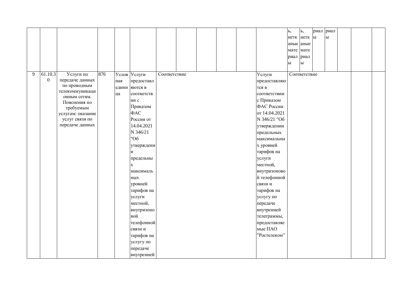|   |                  |                              |     |       |              |              |  |  |               | Ь,                     | ь,                     | риал         | риал         |  |  |
|---|------------------|------------------------------|-----|-------|--------------|--------------|--|--|---------------|------------------------|------------------------|--------------|--------------|--|--|
|   |                  |                              |     |       |              |              |  |  |               | нетк нетк              |                        | $\mathbf{H}$ | $\mathbf{P}$ |  |  |
|   |                  |                              |     |       |              |              |  |  |               | аные аные              |                        |              |              |  |  |
|   |                  |                              |     |       |              |              |  |  |               | мате мате              |                        |              |              |  |  |
|   |                  |                              |     |       |              |              |  |  |               | риал риал              |                        |              |              |  |  |
|   |                  |                              |     |       |              |              |  |  |               | $\mathbf{P}\mathbf{I}$ | $\mathbf{P}\mathbf{I}$ |              |              |  |  |
|   |                  |                              |     |       |              |              |  |  |               |                        |                        |              |              |  |  |
| 9 | 61.10.3          | Услуги по                    | 876 |       | Услов Услуги | Соответствие |  |  | Услуги        |                        | Соответствие           |              |              |  |  |
|   | $\boldsymbol{0}$ | передаче данных              |     | ная   | предоставл   |              |  |  | предоставляю  |                        |                        |              |              |  |  |
|   |                  | по проводным                 |     | едини | яются в      |              |  |  | тся в         |                        |                        |              |              |  |  |
|   |                  | телекоммуникаци              |     | ца    | соответств   |              |  |  | соответствии  |                        |                        |              |              |  |  |
|   |                  | онным сетям.<br>Пояснения по |     |       | ии с         |              |  |  | с Приказом    |                        |                        |              |              |  |  |
|   |                  | требуемым                    |     |       | Приказом     |              |  |  | ФАС России    |                        |                        |              |              |  |  |
|   |                  | услугам: оказание            |     |       | ФAC          |              |  |  | от 14.04.2021 |                        |                        |              |              |  |  |
|   |                  | услуг связи по               |     |       | России от    |              |  |  | N 346/21 "O6  |                        |                        |              |              |  |  |
|   |                  | передаче данных              |     |       | 14.04.2021   |              |  |  | утверждении   |                        |                        |              |              |  |  |
|   |                  |                              |     |       | N 346/21     |              |  |  | предельных    |                        |                        |              |              |  |  |
|   |                  |                              |     |       | "Об          |              |  |  | максимальны   |                        |                        |              |              |  |  |
|   |                  |                              |     |       | утверждени   |              |  |  | х уровней     |                        |                        |              |              |  |  |
|   |                  |                              |     |       | И            |              |  |  | тарифов на    |                        |                        |              |              |  |  |
|   |                  |                              |     |       | предельны    |              |  |  | услуги        |                        |                        |              |              |  |  |
|   |                  |                              |     |       | $\mathbf{x}$ |              |  |  | местной,      |                        |                        |              |              |  |  |
|   |                  |                              |     |       | максималь    |              |  |  | внутризоново  |                        |                        |              |              |  |  |
|   |                  |                              |     |       | НЫХ          |              |  |  | й телефонной  |                        |                        |              |              |  |  |
|   |                  |                              |     |       | уровней      |              |  |  | связи и       |                        |                        |              |              |  |  |
|   |                  |                              |     |       | тарифов на   |              |  |  | тарифов на    |                        |                        |              |              |  |  |
|   |                  |                              |     |       | услуги       |              |  |  | услугу по     |                        |                        |              |              |  |  |
|   |                  |                              |     |       | местной,     |              |  |  | передаче      |                        |                        |              |              |  |  |
|   |                  |                              |     |       | внутризоно   |              |  |  | внутренней    |                        |                        |              |              |  |  |
|   |                  |                              |     |       | вой          |              |  |  | телеграммы,   |                        |                        |              |              |  |  |
|   |                  |                              |     |       | телефонной   |              |  |  | предоставляе  |                        |                        |              |              |  |  |
|   |                  |                              |     |       | связи и      |              |  |  | мые ПАО       |                        |                        |              |              |  |  |
|   |                  |                              |     |       | тарифов на   |              |  |  | "Ростелеком"  |                        |                        |              |              |  |  |
|   |                  |                              |     |       | услугу по    |              |  |  |               |                        |                        |              |              |  |  |
|   |                  |                              |     |       | передаче     |              |  |  |               |                        |                        |              |              |  |  |
|   |                  |                              |     |       | внутренней   |              |  |  |               |                        |                        |              |              |  |  |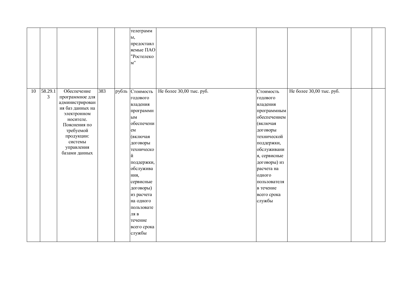|    |              |                                                                                                                                                                                        |     |       | телеграмм<br>ы,<br>предоставл<br>яемые ПАО<br>"Ростелеко<br>M''                                                                                                                                                                                                       |                          |                                                                                                                                                                                                                                                    |                          |  |
|----|--------------|----------------------------------------------------------------------------------------------------------------------------------------------------------------------------------------|-----|-------|-----------------------------------------------------------------------------------------------------------------------------------------------------------------------------------------------------------------------------------------------------------------------|--------------------------|----------------------------------------------------------------------------------------------------------------------------------------------------------------------------------------------------------------------------------------------------|--------------------------|--|
| 10 | 58.29.1<br>3 | Обеспечение<br>программное для<br>администрирован<br>ия баз данных на<br>электронном<br>носителе.<br>Пояснения по<br>требуемой<br>продукции:<br>системы<br>управления<br>базами данных | 383 | рубль | Стоимость<br>годового<br>владения<br>программн<br>ЫM<br>обеспечени<br>em<br>(включая<br>договоры<br>техническо<br>й<br>поддержки,<br>обслужива<br>ния,<br>сервисные<br>договоры)<br>из расчета<br>на одного<br>пользовате<br>ЛЯ В<br>течение<br>всего срока<br>службы | Не более 30,00 тыс. руб. | Стоимость<br>годового<br>владения<br>программным<br>обеспечением<br>(включая<br>договоры<br>технической<br>поддержки,<br>обслуживани<br>я, сервисные<br>договоры) из<br>расчета на<br>одного<br>пользователя<br>в течение<br>всего срока<br>службы | Не более 30,00 тыс. руб. |  |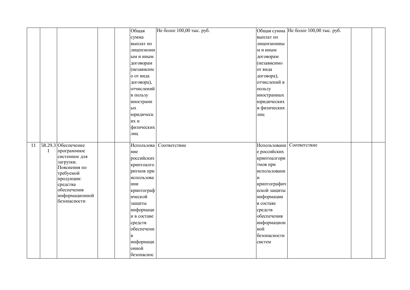|    |    |                                | Общая       | Не более 100,00 тыс. руб. |              | Общая сумма Не более 100,00 тыс. руб. |  |
|----|----|--------------------------------|-------------|---------------------------|--------------|---------------------------------------|--|
|    |    |                                | сумма       |                           | выплат по    |                                       |  |
|    |    |                                | выплат по   |                           | лицензионны  |                                       |  |
|    |    |                                | лицензионн  |                           | м и иным     |                                       |  |
|    |    |                                | ым и иным   |                           | договорам    |                                       |  |
|    |    |                                | договорам   |                           | (независимо  |                                       |  |
|    |    |                                | (независим  |                           | от вида      |                                       |  |
|    |    |                                | о от вида   |                           | договора),   |                                       |  |
|    |    |                                | договора),  |                           | отчислений в |                                       |  |
|    |    |                                | отчислений  |                           | пользу       |                                       |  |
|    |    |                                | в пользу    |                           | иностранных  |                                       |  |
|    |    |                                | иностранн   |                           | юридических  |                                       |  |
|    |    |                                | ЫX          |                           | и физических |                                       |  |
|    |    |                                | юридическ   |                           | лиц          |                                       |  |
|    |    |                                | их и        |                           |              |                                       |  |
|    |    |                                | физических  |                           |              |                                       |  |
|    |    |                                | лиц         |                           |              |                                       |  |
|    |    |                                |             |                           |              |                                       |  |
| 11 |    | 58.29.3 Обеспечение            | Использова  | Соответствие              | Использовани | Соответствие                          |  |
|    | -1 | программное                    | ние         |                           | е российских |                                       |  |
|    |    | системное для<br>загрузки.     | российских  |                           | криптоалгори |                                       |  |
|    |    | Пояснения по                   | криптоалго  |                           | тмов при     |                                       |  |
|    |    | требуемой                      | ритмов при  |                           | использовани |                                       |  |
|    |    | продукции:                     | использова  |                           | и            |                                       |  |
|    |    | средства                       | нии         |                           | криптографич |                                       |  |
|    |    | обеспечения                    | криптограф  |                           | еской защиты |                                       |  |
|    |    | информационной<br>безопасности | ической     |                           | информации   |                                       |  |
|    |    |                                | защиты      |                           | в составе    |                                       |  |
|    |    |                                | информаци   |                           | средств      |                                       |  |
|    |    |                                | и в составе |                           | обеспечения  |                                       |  |
|    |    |                                | средств     |                           | информацион  |                                       |  |
|    |    |                                | обеспечени  |                           | ной          |                                       |  |
|    |    |                                | Я           |                           | безопасности |                                       |  |
|    |    |                                | информаци   |                           | систем       |                                       |  |
|    |    |                                | онной       |                           |              |                                       |  |
|    |    |                                | безопаснос  |                           |              |                                       |  |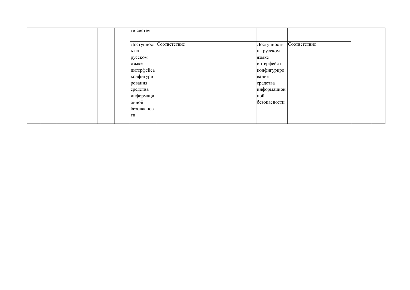|  |  | ти систем  |                         |              |              |  |
|--|--|------------|-------------------------|--------------|--------------|--|
|  |  |            |                         |              |              |  |
|  |  |            | Доступност Соответствие | Доступность  | Соответствие |  |
|  |  | ь на       |                         | на русском   |              |  |
|  |  | русском    |                         | языке        |              |  |
|  |  | языке      |                         | интерфейса   |              |  |
|  |  | интерфейса |                         | конфигуриро  |              |  |
|  |  | конфигури  |                         | вания        |              |  |
|  |  | рования    |                         | средства     |              |  |
|  |  | средства   |                         | информацион  |              |  |
|  |  | информаци  |                         | ной          |              |  |
|  |  | онной      |                         | безопасности |              |  |
|  |  | безопаснос |                         |              |              |  |
|  |  | ТИ         |                         |              |              |  |
|  |  |            |                         |              |              |  |